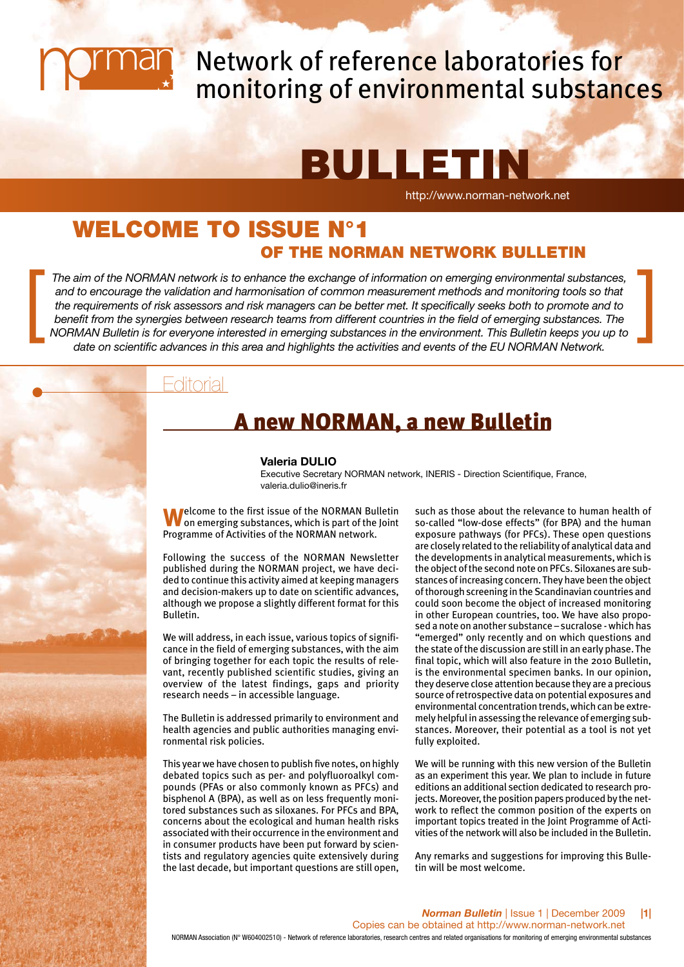

# Network of reference laboratories for monitoring of environmental substances

# **BULLETIN**

http://www.norman-network.net

## WELCOME TO ISSUE N°1 OF THE NORMAN NETWORK BULLETIN

*The aim of the NORMAN network is to enhance the exchange of information on emerging environmental substances, and to encourage the validation and harmonisation of common measurement methods and monitoring tools so that the requirements of risk assessors and risk managers can be better met. It specifically seeks both to promote and to benefit from the synergies between research teams from different countries in the field of emerging substances. The NORMAN Bulletin is for everyone interested in emerging substances in the environmental substances,*<br>and to encourage the validation and harmonisation of common measurement methods and monitoring tools so that<br>the requirem *date on scientific advances in this area and highlights the activities and events of the EU NORMAN Network.*

## Editorial

## A new NORMAN, a new Bulletin

#### **Valeria DULIO**

Executive Secretary NORMAN network, INERIS - Direction Scientifique, France, valeria.dulio@ineris.fr

**Welcome to the first issue of the NORMAN Bulletin**<br> **W** on emerging substances, which is part of the Joint Programme of Activities of the NORMAN network.

Following the success of the NORMAN Newsletter published during the NORMAN project, we have decided to continue this activity aimed at keeping managers and decision-makers up to date on scientific advances, although we propose a slightly different format for this Bulletin.

We will address, in each issue, various topics of significance in the field of emerging substances, with the aim of bringing together for each topic the results of relevant, recently published scientific studies, giving an overview of the latest findings, gaps and priority research needs – in accessible language.

The Bulletin is addressed primarily to environment and health agencies and public authorities managing environmental risk policies.

This year we have chosen to publish five notes, on highly debated topics such as per- and polyfluoroalkyl compounds (PFAs or also commonly known as PFCs) and bisphenol A (BPA), as well as on less frequently monitored substances such as siloxanes. For PFCs and BPA, concerns about the ecological and human health risks associated with their occurrence in the environment and in consumer products have been put forward by scientists and regulatory agencies quite extensively during the last decade, but important questions are still open, such as those about the relevance to human health of so-called "low-dose effects" (for BPA) and the human exposure pathways (for PFCs). These open questions are closely related to the reliability of analytical data and the developments in analytical measurements, which is the object of the second note on PFCs. Siloxanes are substances of increasing concern. They have been the object of thorough screening in the Scandinavian countries and could soon become the object of increased monitoring in other European countries, too. We have also proposed a note on another substance – sucralose - which has "emerged" only recently and on which questions and the state of the discussion are still in an early phase. The final topic, which will also feature in the 2010 Bulletin, is the environmental specimen banks. In our opinion, they deserve close attention because they are a precious source of retrospective data on potential exposures and environmental concentration trends, which can be extremely helpful in assessing the relevance of emerging substances. Moreover, their potential as a tool is not yet fully exploited.

We will be running with this new version of the Bulletin as an experiment this year. We plan to include in future editions an additional section dedicated to research projects. Moreover, the position papers produced by the network to reflect the common position of the experts on important topics treated in the Joint Programme of Activities of the network will also be included in the Bulletin.

Any remarks and suggestions for improving this Bulletin will be most welcome.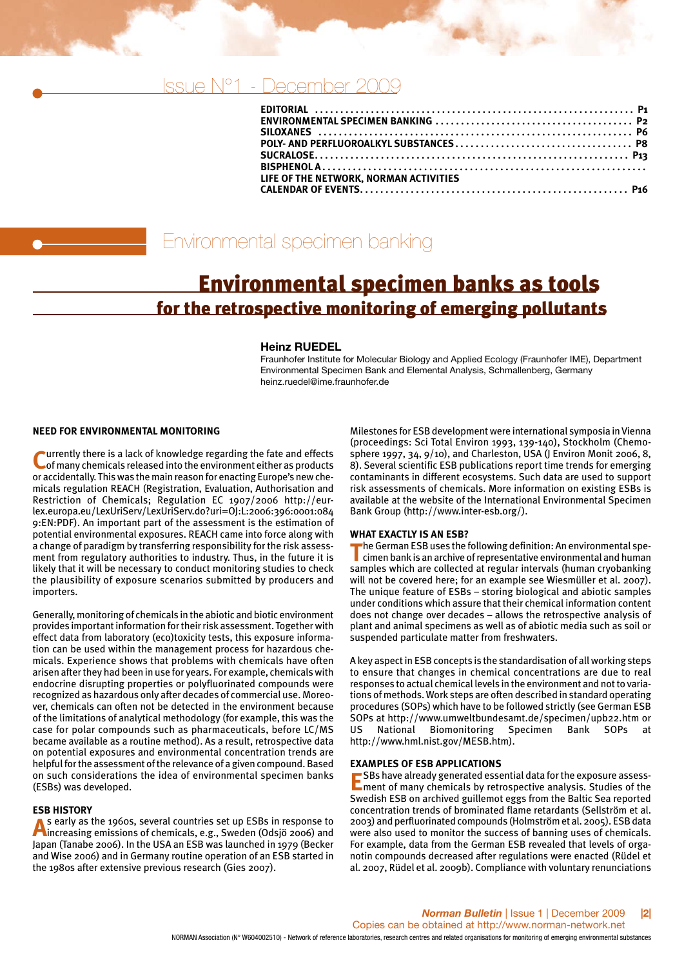## Issue N°1 - December 20

| LIFE OF THE NETWORK, NORMAN ACTIVITIES |  |
|----------------------------------------|--|
|                                        |  |
|                                        |  |

## Environmental specimen banking

## Environmental specimen banks as tools for the retrospective monitoring of emerging pollutants

#### **Heinz RUEDEL**

Fraunhofer Institute for Molecular Biology and Applied Ecology (Fraunhofer IME), Department Environmental Specimen Bank and Elemental Analysis, Schmallenberg, Germany heinz.ruedel@ime.fraunhofer.de

#### **NEED FOR ENVIRONMENTAL MONITORING**

**Lurrently there is a lack of knowledge regarding the fate and effects** of many chemicals released into the environment either as products or accidentally. This was the main reason for enacting Europe's new chemicals regulation REACH (Registration, Evaluation, Authorisation and Restriction of Chemicals; Regulation EC 1907/2006 http://eurlex.europa.eu/LexUriServ/LexUriServ.do?uri=OJ:L:2006:396:0001:084 9:EN:PDF). An important part of the assessment is the estimation of potential environmental exposures. REACH came into force along with a change of paradigm by transferring responsibility for the risk assessment from regulatory authorities to industry. Thus, in the future it is likely that it will be necessary to conduct monitoring studies to check the plausibility of exposure scenarios submitted by producers and importers.

Generally, monitoring of chemicals in the abiotic and biotic environment provides important information for their risk assessment. Together with effect data from laboratory (eco)toxicity tests, this exposure information can be used within the management process for hazardous chemicals. Experience shows that problems with chemicals have often arisen after they had been in use for years. For example, chemicals with endocrine disrupting properties or polyfluorinated compounds were recognized as hazardous only after decades of commercial use. Moreover, chemicals can often not be detected in the environment because of the limitations of analytical methodology (for example, this was the case for polar compounds such as pharmaceuticals, before LC/MS became available as a routine method). As a result, retrospective data on potential exposures and environmental concentration trends are helpful for the assessment of the relevance of a given compound. Based on such considerations the idea of environmental specimen banks (ESBs) was developed.

**ESB HISTORY**<br>A s early as the 1960s, several countries set up ESBs in response to **A**s early as the 1960s, several countries set up ESBs in response to increasing emissions of chemicals, e.g., Sweden (Odsjö 2006) and Japan (Tanabe 2006). In the USA an ESB was launched in 1979 (Becker and Wise 2006) and in Germany routine operation of an ESB started in the 1980s after extensive previous research (Gies 2007).

Milestones for ESB development were international symposia in Vienna (proceedings: Sci Total Environ 1993, 139-140), Stockholm (Chemosphere 1997, 34, 9/10), and Charleston, USA (J Environ Monit 2006, 8, 8). Several scientific ESB publications report time trends for emerging contaminants in different ecosystems. Such data are used to support risk assessments of chemicals. More information on existing ESBs is available at the website of the International Environmental Specimen Bank Group (http://www.inter-esb.org/).

#### **WHAT EXACTLY IS AN ESB?**

**T**he German ESB uses the following definition: An environmental specimen bank is an archive of representative environmental and human samples which are collected at regular intervals (human cryobanking will not be covered here; for an example see Wiesmüller et al. 2007). The unique feature of ESBs – storing biological and abiotic samples under conditions which assure that their chemical information content does not change over decades – allows the retrospective analysis of plant and animal specimens as well as of abiotic media such as soil or suspended particulate matter from freshwaters.

A key aspect in ESB concepts is the standardisation of all working steps to ensure that changes in chemical concentrations are due to real responses to actual chemical levels in the environment and not to variations of methods. Work steps are often described in standard operating procedures (SOPs) which have to be followed strictly (see German ESB SOPs at http://www.umweltbundesamt.de/specimen/upb22.htm or US National Biomonitoring Specimen Bank SOPs at http://www.hml.nist.gov/MESB.htm).

#### **EXAMPLES OF ESB APPLICATIONS**

**E**SBs have already generated essential data for the exposure assessment of many chemicals by retrospective analysis. Studies of the Swedish ESB on archived guillemot eggs from the Baltic Sea reported concentration trends of brominated flame retardants (Sellström et al. 2003) and perfluorinated compounds (Holmström et al. 2005). ESB data were also used to monitor the success of banning uses of chemicals. For example, data from the German ESB revealed that levels of organotin compounds decreased after regulations were enacted (Rüdel et al. 2007, Rüdel et al. 2009b). Compliance with voluntary renunciations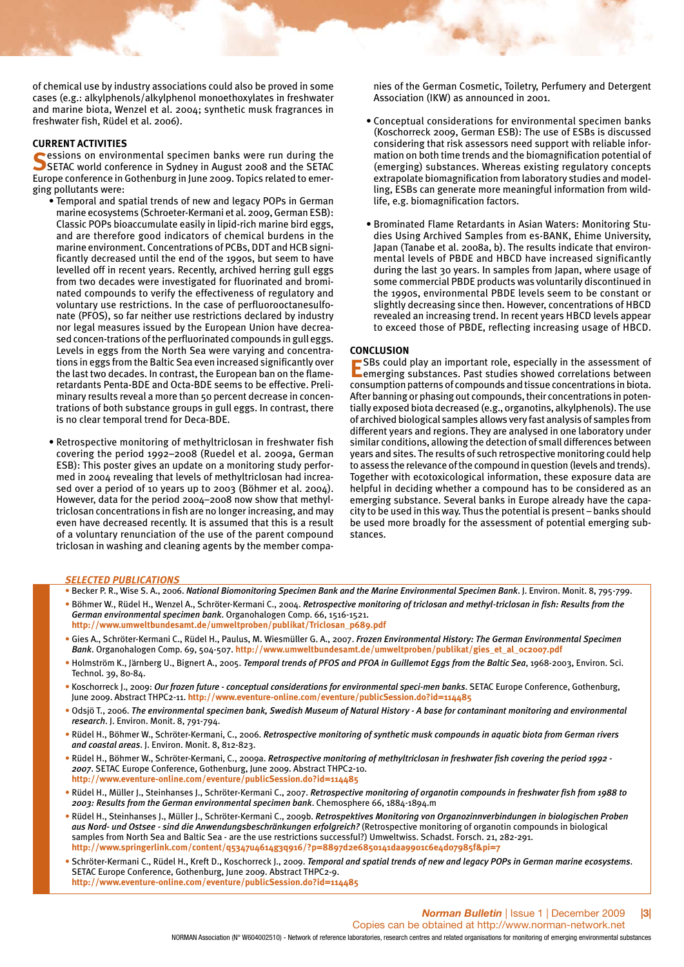of chemical use by industry associations could also be proved in some cases (e.g.: alkylphenols/alkylphenol monoethoxylates in freshwater and marine biota, Wenzel et al. 2004; synthetic musk fragrances in freshwater fish, Rüdel et al. 2006).

#### **CURRENT ACTIVITIES**

**Solutions** on environmental specimen banks were run during the SETAC world conference in Sydney in August 2008 and the SETAC Europe conference in Gothenburg in June 2009. Topics related to emerging pollutants were:

- Temporal and spatial trends of new and legacy POPs in German marine ecosystems (Schroeter-Kermani et al. 2009, German ESB): Classic POPs bioaccumulate easily in lipid-rich marine bird eggs, and are therefore good indicators of chemical burdens in the marine environment. Concentrations of PCBs, DDT and HCB significantly decreased until the end of the 1990s, but seem to have levelled off in recent years. Recently, archived herring gull eggs from two decades were investigated for fluorinated and brominated compounds to verify the effectiveness of regulatory and voluntary use restrictions. In the case of perfluorooctanesulfonate (PFOS), so far neither use restrictions declared by industry nor legal measures issued by the European Union have decreased concen-trations of the perfluorinated compounds in gull eggs. Levels in eggs from the North Sea were varying and concentrations in eggs from the Baltic Sea even increased significantly over the last two decades. In contrast, the European ban on the flameretardants Penta-BDE and Octa-BDE seems to be effective. Preliminary results reveal a more than 50 percent decrease in concentrations of both substance groups in gull eggs. In contrast, there is no clear temporal trend for Deca-BDE.
- Retrospective monitoring of methyltriclosan in freshwater fish covering the period 1992–2008 (Ruedel et al. 2009a, German ESB): This poster gives an update on a monitoring study performed in 2004 revealing that levels of methyltriclosan had increased over a period of 10 years up to 2003 (Böhmer et al. 2004). However, data for the period 2004–2008 now show that methyltriclosan concentrations in fish are no longer increasing, and may even have decreased recently. It is assumed that this is a result of a voluntary renunciation of the use of the parent compound triclosan in washing and cleaning agents by the member compa-

nies of the German Cosmetic, Toiletry, Perfumery and Detergent Association (IKW) as announced in 2001.

- Conceptual considerations for environmental specimen banks (Koschorreck 2009, German ESB): The use of ESBs is discussed considering that risk assessors need support with reliable information on both time trends and the biomagnification potential of (emerging) substances. Whereas existing regulatory concepts extrapolate biomagnification from laboratory studies and modelling, ESBs can generate more meaningful information from wildlife, e.g. biomagnification factors.
- Brominated Flame Retardants in Asian Waters: Monitoring Studies Using Archived Samples from es-BANK, Ehime University, Japan (Tanabe et al. 2008a, b). The results indicate that environmental levels of PBDE and HBCD have increased significantly during the last 30 years. In samples from Japan, where usage of some commercial PBDE products was voluntarily discontinued in the 1990s, environmental PBDE levels seem to be constant or slightly decreasing since then. However, concentrations of HBCD revealed an increasing trend. In recent years HBCD levels appear to exceed those of PBDE, reflecting increasing usage of HBCD.

#### **CONCLUSION**

**E**SBs could play an important role, especially in the assessment of emerging substances. Past studies showed correlations between consumption patterns of compounds and tissue concentrations in biota. After banning or phasing out compounds, their concentrations in potentially exposed biota decreased (e.g., organotins, alkylphenols). The use of archived biological samples allows very fast analysis of samples from different years and regions. They are analysed in one laboratory under similar conditions, allowing the detection of small differences between years and sites. The results of such retrospective monitoring could help to assess the relevance of the compound in question (levels and trends). Together with ecotoxicological information, these exposure data are helpful in deciding whether a compound has to be considered as an emerging substance. Several banks in Europe already have the capacity to be used in this way. Thus the potential is present – banks should be used more broadly for the assessment of potential emerging substances.

#### *SELECTED PUBLICATIONS*

- Becker P. R., Wise S. A., 2006. *National Biomonitoring Specimen Bank and the Marine Environmental Specimen Bank*. J. Environ. Monit. 8, 795-799.
- Böhmer W., Rüdel H., Wenzel A., Schröter-Kermani C., 2004. *Retrospective monitoring of triclosan and methyl-triclosan in fish: Results from the German environmental specimen bank*. Organohalogen Comp. 66, 1516-1521. **http://www.umweltbundesamt.de/umweltproben/publikat/Triclosan\_p689.pdf**
- Gies A., Schröter-Kermani C., Rüdel H., Paulus, M. Wiesmüller G. A., 2007. *Frozen Environmental History: The German Environmental Specimen Bank*. Organohalogen Comp. 69, 504-507. **http://www.umweltbundesamt.de/umweltproben/publikat/gies\_et\_al\_oc2007.pdf**
- Holmström K., Järnberg U., Bignert A., 2005. *Temporal trends of PFOS and PFOA in Guillemot Eggs from the Baltic Sea*, 1968-2003, Environ. Sci. Technol. 39, 80-84.
- Koschorreck J., 2009: *Our frozen future conceptual considerations for environmental speci-men banks*. SETAC Europe Conference, Gothenburg, June 2009. Abstract THPC2-11. **http://www.eventure-online.com/eventure/publicSession.do?id=114485**
- Odsjö T., 2006. *The environmental specimen bank, Swedish Museum of Natural History A base for contaminant monitoring and environmental research*. J. Environ. Monit. 8, 791-794.
- Rüdel H., Böhmer W., Schröter-Kermani, C., 2006. *Retrospective monitoring of synthetic musk compounds in aquatic biota from German rivers and coastal areas*. J. Environ. Monit. 8, 812-823.
- Rüdel H., Böhmer W., Schröter-Kermani, C., 2009a. *Retrospective monitoring of methyltriclosan in freshwater fish covering the period 1992 - 2007*. SETAC Europe Conference, Gothenburg, June 2009. Abstract THPC2-10. **http://www.eventure-online.com/eventure/publicSession.do?id=114485**
- Rüdel H., Müller J., Steinhanses J., Schröter-Kermani C., 2007. *Retrospective monitoring of organotin compounds in freshwater fish from 1988 to 2003: Results from the German environmental specimen bank*. Chemosphere 66, 1884-1894.m
- Rüdel H., Steinhanses J., Müller J., Schröter-Kermani C., 2009b. *Retrospektives Monitoring von Organozinnverbindungen in biologischen Proben aus Nord- und Ostsee - sind die Anwendungsbeschränkungen erfolgreich?* (Retrospective monitoring of organotin compounds in biological samples from North Sea and Baltic Sea - are the use restrictions successful?) Umweltwiss. Schadst. Forsch. 21, 282-291. **http://www.springerlink.com/content/q5347u4614g3q916/?p=8897d2e6850141daa9901c6e4d07985f&pi=7**
- Schröter-Kermani C., Rüdel H., Kreft D., Koschorreck J., 2009. *Temporal and spatial trends of new and legacy POPs in German marine ecosystems*. SETAC Europe Conference, Gothenburg, June 2009. Abstract THPC2-9. **http://www.eventure-online.com/eventure/publicSession.do?id=114485**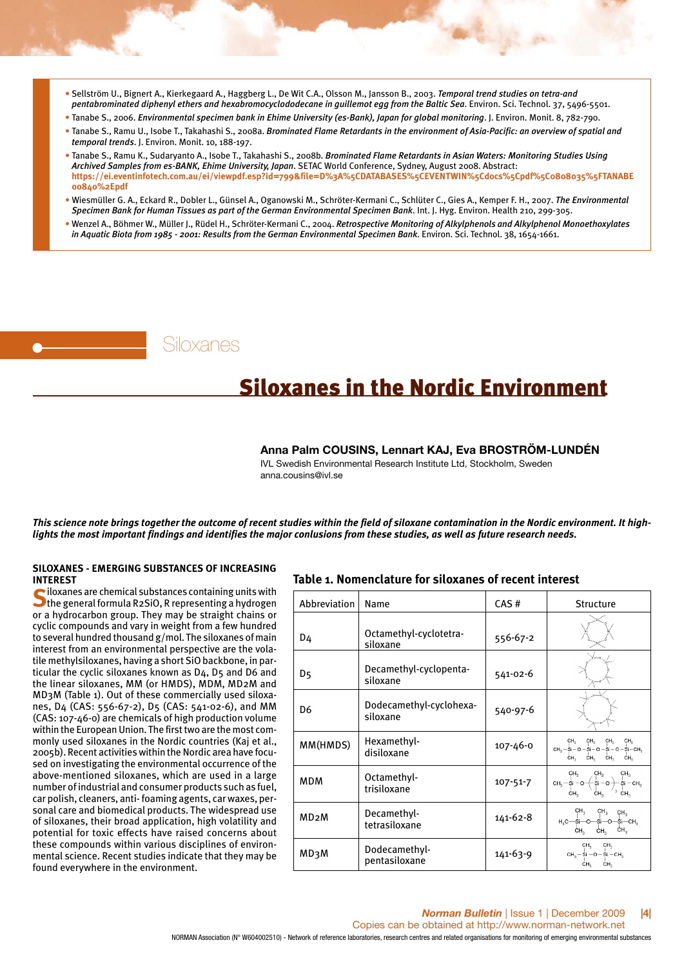- Sellström U., Bignert A., Kierkegaard A., Haggberg L., De Wit C.A., Olsson M., Jansson B., 2003. *Temporal trend studies on tetra-and pentabrominated diphenyl ethers and hexabromocyclododecane in guillemot egg from the Baltic Sea*. Environ. Sci. Technol. 37, 5496-5501.
- Tanabe S., 2006. *Environmental specimen bank in Ehime University (es-Bank), Japan for global monitoring*. J. Environ. Monit. 8, 782-790.
- Tanabe S., Ramu U., Isobe T., Takahashi S., 2008a. *Brominated Flame Retardants in the environment of Asia-Pacific: an overview of spatial and temporal trends*. J. Environ. Monit. 10, 188-197.
- Tanabe S., Ramu K., Sudaryanto A., Isobe T., Takahashi S., 2008b. *Brominated Flame Retardants in Asian Waters: Monitoring Studies Using Archived Samples from es-BANK, Ehime University, Japan*. SETAC World Conference, Sydney, August 2008. Abstract: **https://ei.eventinfotech.com.au/ei/viewpdf.esp?id=799&file=D%3A%5CDATABASES%5CEVENTWIN%5Cdocs%5Cpdf%5C0808035%5FTANABE 00840%2Epdf**
- Wiesmüller G. A., Eckard R., Dobler L., Günsel A., Oganowski M., Schröter-Kermani C., Schlüter C., Gies A., Kemper F. H., 2007. *The Environmental Specimen Bank for Human Tissues as part of the German Environmental Specimen Bank*. Int. J. Hyg. Environ. Health 210, 299-305.
- Wenzel A., Böhmer W., Müller J., Rüdel H., Schröter-Kermani C., 2004. *Retrospective Monitoring of Alkylphenols and Alkylphenol Monoethoxylates in Aquatic Biota from 1985 - 2001: Results from the German Environmental Specimen Bank*. Environ. Sci. Technol. 38, 1654-1661.

Siloxanes

## Siloxanes in the Nordic Environment

**Anna Palm COUSINS, Lennart KAJ, Eva BROSTRÖM-LUNDÉN**

IVL Swedish Environmental Research Institute Ltd, Stockholm, Sweden anna.cousins@ivl.se

*This science note brings together the outcome of recent studies within the field of siloxane contamination in the Nordic environment. It highlights the most important findings and identifies the major conlusions from these studies, as well as future research needs.* 

#### **SILOXANES - EMERGING SUBSTANCES OF INCREASING INTEREST**

Siloxanes are chemical substances containing units with<br>
the general formula R2SiO, R representing a hydrogen or a hydrocarbon group. They may be straight chains or cyclic compounds and vary in weight from a few hundred to several hundred thousand g/mol. The siloxanes of main interest from an environmental perspective are the volatile methylsiloxanes, having a short SiO backbone, in particular the cyclic siloxanes known as D4, D5 and D6 and the linear siloxanes, MM (or HMDS), MDM, MD2M and MD3M (Table 1). Out of these commercially used siloxanes, D4 (CAS: 556-67-2), D5 (CAS: 541-02-6), and MM (CAS: 107-46-0) are chemicals of high production volume within the European Union. The first two are the most commonly used siloxanes in the Nordic countries (Kaj et al., 2005b). Recent activities within the Nordic area have focused on investigating the environmental occurrence of the above-mentioned siloxanes, which are used in a large number of industrial and consumer products such as fuel, car polish, cleaners, anti- foaming agents, car waxes, personal care and biomedical products. The widespread use of siloxanes, their broad application, high volatility and potential for toxic effects have raised concerns about these compounds within various disciplines of environmental science. Recent studies indicate that they may be found everywhere in the environment.

#### **Table 1. Nomenclature for siloxanes of recent interest**

| Abbreviation      | Name                                | CAS#           | <b>Structure</b>                                                                                                                                                                                                          |
|-------------------|-------------------------------------|----------------|---------------------------------------------------------------------------------------------------------------------------------------------------------------------------------------------------------------------------|
| D4                | Octamethyl-cyclotetra-<br>siloxane  | 556-67-2       |                                                                                                                                                                                                                           |
| D5                | Decamethyl-cyclopenta-<br>siloxane  | 541-02-6       |                                                                                                                                                                                                                           |
| D6                | Dodecamethyl-cyclohexa-<br>siloxane | 540-97-6       |                                                                                                                                                                                                                           |
| MM(HMDS)          | Hexamethyl-<br>disiloxane           | 107-46-0       | CH <sub>2</sub><br>CH <sub>2</sub><br>CH <sub>c</sub><br>CH <sub>3</sub><br>CH <sub>3</sub> - Si - O - Si - O - Si - O - Si - CH <sub>3</sub><br>CH <sub>3</sub><br>ĊН <sub>3</sub><br>CH <sub>3</sub><br>CH <sub>3</sub> |
| <b>MDM</b>        | Octamethyl-<br>trisiloxane          | $107 - 51 - 7$ | CH <sub>3</sub><br>CH <sub>3</sub><br>CH <sub>3</sub><br>сн $_{3}$ — si —о — si —о $+$<br>$Si - CH2$<br>CH <sub>3</sub><br>CH <sub>3</sub><br>CH <sub>3</sub>                                                             |
| MD <sub>2</sub> M | Decamethyl-<br>tetrasiloxane        | 141-62-8       | CH <sub>3</sub><br>CH <sub>3</sub><br>CH <sub>3</sub><br>$H_1C - Si - O - Si - O -$<br>-si—cн,<br>CH <sub>3</sub><br>ĊН,<br>ĊН,                                                                                           |
| <b>MD3M</b>       | Dodecamethyl-<br>pentasiloxane      | 141-63-9       | CH <sub>2</sub><br>CH <sub>2</sub><br>$CH_3 - Si - O - Si - CH_3$<br>CH <sub>2</sub><br>CH <sub>2</sub>                                                                                                                   |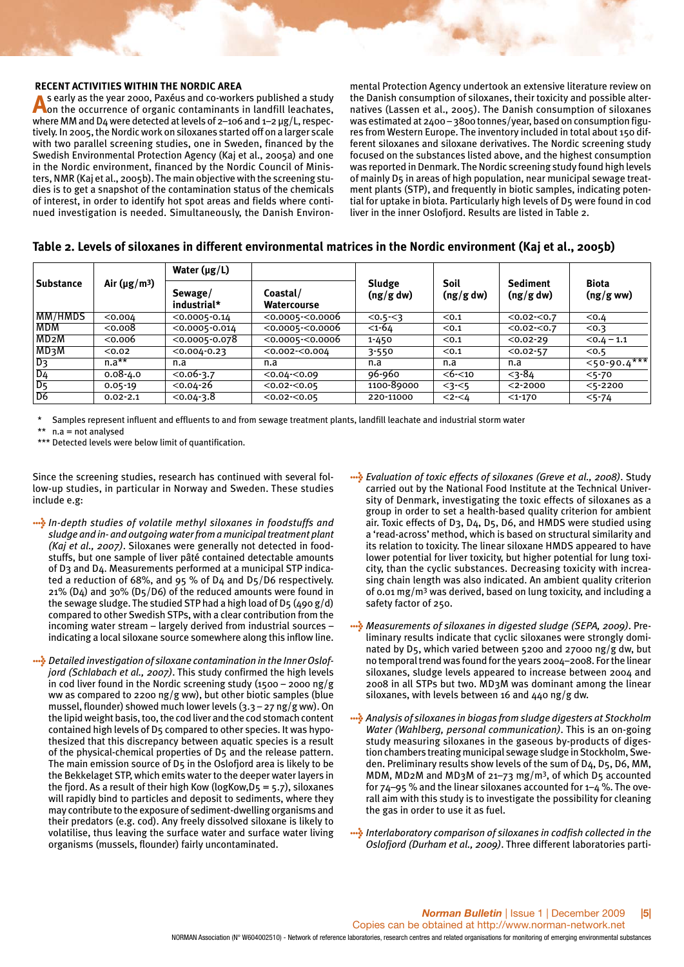## **RECENT ACTIVITIES WITHIN THE NORDIC AREA**<br>A s early as the year 2000, Paxéus and co-workers published a study

As early as the year 2000, Paxéus and co-workers published a study<br>Aon the occurrence of organic contaminants in landfill leachates, where MM and D4 were detected at levels of 2–106 and 1–2 μg/L, respectively. In 2005, the Nordic work on siloxanes started off on a larger scale with two parallel screening studies, one in Sweden, financed by the Swedish Environmental Protection Agency (Kaj et al., 2005a) and one in the Nordic environment, financed by the Nordic Council of Ministers, NMR (Kaj et al., 2005b). The main objective with the screening studies is to get a snapshot of the contamination status of the chemicals of interest, in order to identify hot spot areas and fields where continued investigation is needed. Simultaneously, the Danish Environ-

mental Protection Agency undertook an extensive literature review on the Danish consumption of siloxanes, their toxicity and possible alternatives (Lassen et al., 2005). The Danish consumption of siloxanes was estimated at 2400 – 3800 tonnes/year, based on consumption figures from Western Europe. The inventory included in total about 150 different siloxanes and siloxane derivatives. The Nordic screening study focused on the substances listed above, and the highest consumption was reported in Denmark. The Nordic screening study found high levels of mainly D5 in areas of high population, near municipal sewage treatment plants (STP), and frequently in biotic samples, indicating potential for uptake in biota. Particularly high levels of D5 were found in cod liver in the inner Oslofjord. Results are listed in Table 2.

## **Table 2. Levels of siloxanes in different environmental matrices in the Nordic environment (Kaj et al., 2005b)**

|                          |                                | Water $(\mu g/L)$      |                         |                     |                   |                              |                          |  |
|--------------------------|--------------------------------|------------------------|-------------------------|---------------------|-------------------|------------------------------|--------------------------|--|
| Substance                | Air ( $\mu$ g/m <sup>3</sup> ) | Sewage/<br>industrial* | Coastal/<br>Watercourse | Sludge<br>(ng/g dw) | Soil<br>(ng/g dw) | <b>Sediment</b><br>(ng/g dw) | <b>Biota</b><br>(ng/gww) |  |
| MM/HMDS                  | < 0.004                        | $< 0.0005 - 0.14$      | $<$ 0.0005- $<$ 0.0006  | $< 0.5 - 3$         | < 0.1             | $< 0.02 - < 0.7$             | < 0.4                    |  |
| I MDM                    | 0.008                          | $<$ 0.0005-0.014       | $<$ 0.0005- $<$ 0.0006  | $< 1 - 64$          | < 0.1             | $< 0.02 - < 0.7$             | < 0.3                    |  |
| MD <sub>2</sub>          | 0.006                          | $< 0.0005 - 0.078$     | $<$ 0.0005- $<$ 0.0006  | $1 - 450$           | < 0.1             | $< 0.02 - 29$                | $< 0.4 - 1.1$            |  |
| <b>MD3W</b>              | < 0.02                         | $< 0.004 - 0.23$       | $<$ 0.002- $<$ 0.004    | $3 - 550$           | < 0.1             | $< 0.02 - 57$                | < 0.5                    |  |
| $ D_3 $                  | $n.a**$                        | n.a                    | n.a                     | n.a                 | n.a               | n.a                          | $50 - 90.4***$           |  |
| $D_4$                    | $0.08 - 4.0$                   | $< 0.06 - 3.7$         | $< 0.04 - 0.09$         | 96-960              | $<$ 6- $<$ 10     | $<$ 3-84                     | $5 - 70$                 |  |
| $D_5$                    | $0.05 - 19$                    | $<$ 0.04-26            | $<$ 0.02- $<$ 0.05      | 1100-89000          | $3 - 5$           | $<$ 2-2000                   | $<$ 5-2200               |  |
| $\overline{\mathsf{D6}}$ | $0.02 - 2.1$                   | $< 0.04 - 3.8$         | $<$ 0.02- $<$ 0.05      | 220-11000           | $2 - 4$           | $<$ 1-170                    | $5 - 74$                 |  |

Samples represent influent and effluents to and from sewage treatment plants, landfill leachate and industrial storm water

 $n.a = not$  analysed

\*\*\* Detected levels were below limit of quantification.

Since the screening studies, research has continued with several follow-up studies, in particular in Norway and Sweden. These studies include e.g:

- > *In-depth studies of volatile methyl siloxanes in foodstuffs and sludge and in- and outgoing water from a municipal treatment plant (Kaj et al., 2007)*. Siloxanes were generally not detected in foodstuffs, but one sample of liver pâté contained detectable amounts of D3 and D4. Measurements performed at a municipal STP indicated a reduction of 68%, and 95 % of D4 and D5/D6 respectively. 21% (D4) and 30% (D5/D6) of the reduced amounts were found in the sewage sludge. The studied STP had a high load of D5 (490 g/d) compared to other Swedish STPs, with a clear contribution from the incoming water stream – largely derived from industrial sources – indicating a local siloxane source somewhere along this inflow line.
- > *Detailed investigation of siloxane contamination in the Inner Oslofjord (Schlabach et al., 2007)*. This study confirmed the high levels in cod liver found in the Nordic screening study (1500 – 2000 ng/g ww as compared to 2200 ng/g ww), but other biotic samples (blue mussel, flounder) showed much lower levels (3.3 – 27 ng/g ww). On the lipid weight basis, too, the cod liver and the cod stomach content contained high levels of D5 compared to other species. It was hypothesized that this discrepancy between aquatic species is a result of the physical-chemical properties of D5 and the release pattern. The main emission source of D5 in the Oslofjord area is likely to be the Bekkelaget STP, which emits water to the deeper water layers in the fjord. As a result of their high Kow (logKow,  $D_5 = 5.7$ ), siloxanes will rapidly bind to particles and deposit to sediments, where they may contribute to the exposure of sediment-dwelling organisms and their predators (e.g. cod). Any freely dissolved siloxane is likely to volatilise, thus leaving the surface water and surface water living organisms (mussels, flounder) fairly uncontaminated.
- > *Evaluation of toxic effects of siloxanes (Greve et al., 2008)*. Study carried out by the National Food Institute at the Technical University of Denmark, investigating the toxic effects of siloxanes as a group in order to set a health-based quality criterion for ambient air. Toxic effects of D3, D4, D5, D6, and HMDS were studied using a 'read-across' method, which is based on structural similarity and its relation to toxicity. The linear siloxane HMDS appeared to have lower potential for liver toxicity, but higher potential for lung toxicity, than the cyclic substances. Decreasing toxicity with increasing chain length was also indicated. An ambient quality criterion of 0.01 mg/m3 was derived, based on lung toxicity, and including a safety factor of 250.
- > *Measurements of siloxanes in digested sludge (SEPA, 2009)*. Preliminary results indicate that cyclic siloxanes were strongly dominated by D5, which varied between 5200 and 27000 ng/g dw, but no temporal trend was found for the years 2004–2008. For the linear siloxanes, sludge levels appeared to increase between 2004 and 2008 in all STPs but two. MD3M was dominant among the linear siloxanes, with levels between 16 and 440 ng/g dw.
- > *Analysis of siloxanes in biogas from sludge digesters at Stockholm Water (Wahlberg, personal communication)*. This is an on-going study measuring siloxanes in the gaseous by-products of digestion chambers treating municipal sewage sludge in Stockholm, Sweden. Preliminary results show levels of the sum of D4, D5, D6, MM, MDM, MD2M and MD3M of 21–73 mg/m3, of which D5 accounted for  $74-95$  % and the linear siloxanes accounted for  $1-4$  %. The overall aim with this study is to investigate the possibility for cleaning the gas in order to use it as fuel.
- > *Interlaboratory comparison of siloxanes in codfish collected in the Oslofjord (Durham et al., 2009)*. Three different laboratories parti-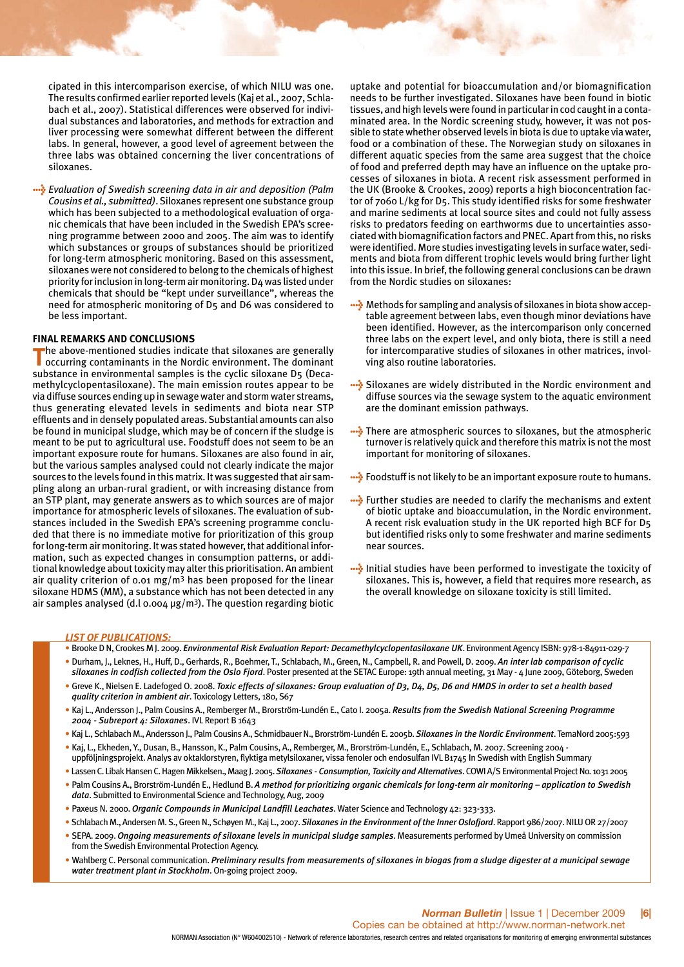cipated in this intercomparison exercise, of which NILU was one. The results confirmed earlier reported levels (Kaj et al., 2007, Schlabach et al., 2007). Statistical differences were observed for individual substances and laboratories, and methods for extraction and liver processing were somewhat different between the different labs. In general, however, a good level of agreement between the three labs was obtained concerning the liver concentrations of siloxanes.

> *Evaluation of Swedish screening data in air and deposition (Palm Cousins et al., submitted)*. Siloxanes represent one substance group which has been subjected to a methodological evaluation of organic chemicals that have been included in the Swedish EPA's screening programme between 2000 and 2005. The aim was to identify which substances or groups of substances should be prioritized for long-term atmospheric monitoring. Based on this assessment, siloxanes were not considered to belong to the chemicals of highest priority for inclusion in long-term air monitoring. D4 was listed under chemicals that should be "kept under surveillance", whereas the need for atmospheric monitoring of D5 and D6 was considered to be less important.

#### **FINAL REMARKS AND CONCLUSIONS**

**T**he above-mentioned studies indicate that siloxanes are generally occurring contaminants in the Nordic environment. The dominant substance in environmental samples is the cyclic siloxane D5 (Decamethylcyclopentasiloxane). The main emission routes appear to be via diffuse sources ending up in sewage water and storm water streams, thus generating elevated levels in sediments and biota near STP effluents and in densely populated areas. Substantial amounts can also be found in municipal sludge, which may be of concern if the sludge is meant to be put to agricultural use. Foodstuff does not seem to be an important exposure route for humans. Siloxanes are also found in air, but the various samples analysed could not clearly indicate the major sources to the levels found in this matrix. It was suggested that air sampling along an urban-rural gradient, or with increasing distance from an STP plant, may generate answers as to which sources are of major importance for atmospheric levels of siloxanes. The evaluation of substances included in the Swedish EPA's screening programme concluded that there is no immediate motive for prioritization of this group for long-term air monitoring. It was stated however, that additional information, such as expected changes in consumption patterns, or additional knowledge about toxicity may alter this prioritisation. An ambient air quality criterion of 0.01 mg/m<sup>3</sup> has been proposed for the linear siloxane HDMS (MM), a substance which has not been detected in any air samples analysed (d.l 0.004 μg/m3). The question regarding biotic

uptake and potential for bioaccumulation and/or biomagnification needs to be further investigated. Siloxanes have been found in biotic tissues, and high levels were found in particular in cod caught in a contaminated area. In the Nordic screening study, however, it was not possible to state whether observed levels in biota is due to uptake via water, food or a combination of these. The Norwegian study on siloxanes in different aquatic species from the same area suggest that the choice of food and preferred depth may have an influence on the uptake processes of siloxanes in biota. A recent risk assessment performed in the UK (Brooke & Crookes, 2009) reports a high bioconcentration factor of 7060 L/kg for D5. This study identified risks for some freshwater and marine sediments at local source sites and could not fully assess risks to predators feeding on earthworms due to uncertainties associated with biomagnification factors and PNEC. Apart from this, no risks were identified. More studies investigating levels in surface water, sediments and biota from different trophic levels would bring further light into this issue. In brief, the following general conclusions can be drawn from the Nordic studies on siloxanes:

- > Methods for sampling and analysis of siloxanes in biota show acceptable agreement between labs, even though minor deviations have been identified. However, as the intercomparison only concerned three labs on the expert level, and only biota, there is still a need for intercomparative studies of siloxanes in other matrices, involving also routine laboratories.
- Siloxanes are widely distributed in the Nordic environment and diffuse sources via the sewage system to the aquatic environment are the dominant emission pathways.
- **....** There are atmospheric sources to siloxanes, but the atmospheric turnover is relatively quick and therefore this matrix is not the most important for monitoring of siloxanes.
- **•••** Foodstuff is not likely to be an important exposure route to humans.
- **....** Further studies are needed to clarify the mechanisms and extent of biotic uptake and bioaccumulation, in the Nordic environment. A recent risk evaluation study in the UK reported high BCF for D5 but identified risks only to some freshwater and marine sediments near sources.
- > Initial studies have been performed to investigate the toxicity of siloxanes. This is, however, a field that requires more research, as the overall knowledge on siloxane toxicity is still limited.

#### *LIST OF PUBLICATIONS:*

- Brooke D N, Crookes M J. 2009. *Environmental Risk Evaluation Report: Decamethylcyclopentasiloxane UK*. Environment Agency ISBN: 978-1-84911-029-7
- Durham, J., Leknes, H., Huff, D., Gerhards, R., Boehmer, T., Schlabach, M., Green, N., Campbell, R. and Powell, D. 2009. *An inter lab comparison of cyclic*
- *siloxanes in codfish collected from the Oslo Fjord*. Poster presented at the SETAC Europe: 19th annual meeting, 31 May 4 June 2009, Göteborg, Sweden • Greve K., Nielsen E. Ladefoged O. 2008. *Toxic effects of siloxanes: Group evaluation of D3, D4, D5, D6 and HMDS in order to set a health based quality criterion in ambient air*. Toxicology Letters, 180, S67
- Kaj L., Andersson J., Palm Cousins A., Remberger M., Brorström-Lundén E., Cato I. 2005a. *Results from the Swedish National Screening Programme 2004 - Subreport 4: Siloxanes*. IVL Report B 1643
- Kaj L., Schlabach M., Andersson J., Palm Cousins A., Schmidbauer N., Brorström-Lundén E. 2005b. *Siloxanes in the Nordic Environment*. TemaNord 2005:593
- Kaj, L., Ekheden, Y., Dusan, B., Hansson, K., Palm Cousins, A., Remberger, M., Brorström-Lundén, E., Schlabach, M. 2007. Screening 2004 uppföljningsprojekt. Analys av oktaklorstyren, flyktiga metylsiloxaner, vissa fenoler och endosulfan IVL B1745 In Swedish with English Summary
- Lassen C. Libak Hansen C. Hagen Mikkelsen., Maag J. 2005. *Siloxanes Consumption, Toxicity and Alternatives*. COWI A/S Environmental Project No. 1031 2005
- Palm Cousins A., Brorström-Lundén E., Hedlund B. *A method for prioritizing organic chemicals for long-term air monitoring application to Swedish data*. Submitted to Environmental Science and Technology, Aug, 2009
- Paxeus N. 2000. *Organic Compounds in Municipal Landfill Leachates*. Water Science and Technology 42: 323-333.
- Schlabach M., Andersen M. S., Green N., Schøyen M., Kaj L., 2007. *Siloxanes in the Environment of the Inner Oslofjord*. Rapport 986/2007. NILU OR 27/2007
- SEPA. 2009. *Ongoing measurements of siloxane levels in municipal sludge samples*. Measurements performed by Umeå University on commission from the Swedish Environmental Protection Agency.
- Wahlberg C. Personal communication. *Preliminary results from measurements of siloxanes in biogas from a sludge digester at a municipal sewage water treatment plant in Stockholm*. On-going project 2009.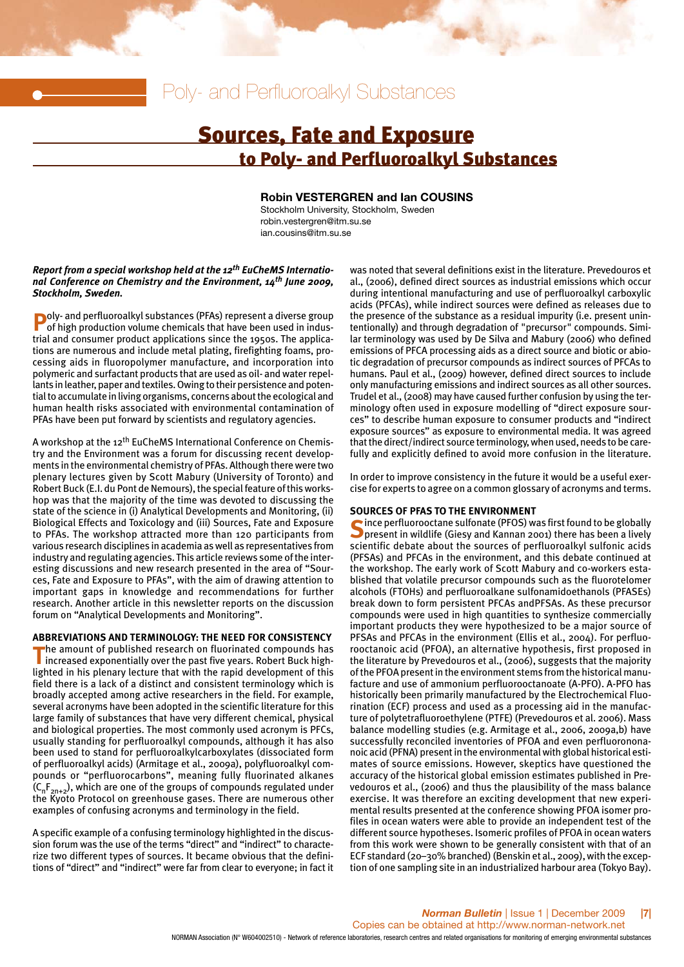## Poly- and Perfluoroalkyl Substances

## Sources, Fate and Exposure to Poly- and Perfluoroalkyl Substances

#### **Robin VESTERGREN and Ian COUSINS**

Stockholm University, Stockholm, Sweden robin.vestergren@itm.su.se ian.cousins@itm.su.se

#### *Report from a special workshop held at the 12th EuCheMS International Conference on Chemistry and the Environment, 14th June 2009, Stockholm, Sweden.*

**Poly- and perfluoroalkyl substances (PFAs) represent a diverse group of high production volume chemicals that have been used in indus**trial and consumer product applications since the 1950s. The applications are numerous and include metal plating, firefighting foams, processing aids in fluoropolymer manufacture, and incorporation into polymeric and surfactant products that are used as oil- and water repellants in leather, paper and textiles. Owing to their persistence and potential to accumulate in living organisms, concerns about the ecological and human health risks associated with environmental contamination of PFAs have been put forward by scientists and regulatory agencies.

A workshop at the 12<sup>th</sup> EuCheMS International Conference on Chemistry and the Environment was a forum for discussing recent developments in the environmental chemistry of PFAs. Although there were two plenary lectures given by Scott Mabury (University of Toronto) and Robert Buck (E.I. du Pont de Nemours), the special feature of this workshop was that the majority of the time was devoted to discussing the state of the science in (i) Analytical Developments and Monitoring, (ii) Biological Effects and Toxicology and (iii) Sources, Fate and Exposure to PFAs. The workshop attracted more than 120 participants from various research disciplines in academia as well as representatives from industry and regulating agencies. This article reviews some of the interesting discussions and new research presented in the area of "Sources, Fate and Exposure to PFAs", with the aim of drawing attention to important gaps in knowledge and recommendations for further research. Another article in this newsletter reports on the discussion forum on "Analytical Developments and Monitoring".

#### **ABBREVIATIONS AND TERMINOLOGY: THE NEED FOR CONSISTENCY**

The amount of published research on fluorinated compounds has<br>increased exponentially over the past five years. Robert Buck highlighted in his plenary lecture that with the rapid development of this field there is a lack of a distinct and consistent terminology which is broadly accepted among active researchers in the field. For example, several acronyms have been adopted in the scientific literature for this large family of substances that have very different chemical, physical and biological properties. The most commonly used acronym is PFCs, usually standing for perfluoroalkyl compounds, although it has also been used to stand for perfluoroalkylcarboxylates (dissociated form of perfluoroalkyl acids) (Armitage et al., 2009a), polyfluoroalkyl compounds or "perfluorocarbons", meaning fully fluorinated alkanes  $(C_nF_{2n+2})$ , which are one of the groups of compounds regulated under the Kyoto Protocol on greenhouse gases. There are numerous other examples of confusing acronyms and terminology in the field.

A specific example of a confusing terminology highlighted in the discussion forum was the use of the terms "direct" and "indirect" to characterize two different types of sources. It became obvious that the definitions of "direct" and "indirect" were far from clear to everyone; in fact it

was noted that several definitions exist in the literature. Prevedouros et al., (2006), defined direct sources as industrial emissions which occur during intentional manufacturing and use of perfluoroalkyl carboxylic acids (PFCAs), while indirect sources were defined as releases due to the presence of the substance as a residual impurity (i.e. present unintentionally) and through degradation of "precursor" compounds. Similar terminology was used by De Silva and Mabury (2006) who defined emissions of PFCA processing aids as a direct source and biotic or abiotic degradation of precursor compounds as indirect sources of PFCAs to humans. Paul et al., (2009) however, defined direct sources to include only manufacturing emissions and indirect sources as all other sources. Trudel et al., (2008) may have caused further confusion by using the terminology often used in exposure modelling of "direct exposure sources" to describe human exposure to consumer products and "indirect exposure sources" as exposure to environmental media. It was agreed that the direct/indirect source terminology, when used, needs to be carefully and explicitly defined to avoid more confusion in the literature.

In order to improve consistency in the future it would be a useful exercise for experts to agree on a common glossary of acronyms and terms.

#### **SOURCES OF PFAS TO THE ENVIRONMENT**

**S**ince perfluorooctane sulfonate (PFOS) was first found to be globally present in wildlife (Giesy and Kannan 2001) there has been a lively scientific debate about the sources of perfluoroalkyl sulfonic acids (PFSAs) and PFCAs in the environment, and this debate continued at the workshop. The early work of Scott Mabury and co-workers established that volatile precursor compounds such as the fluorotelomer alcohols (FTOHs) and perfluoroalkane sulfonamidoethanols (PFASEs) break down to form persistent PFCAs andPFSAs. As these precursor compounds were used in high quantities to synthesize commercially important products they were hypothesized to be a major source of PFSAs and PFCAs in the environment (Ellis et al., 2004). For perfluorooctanoic acid (PFOA), an alternative hypothesis, first proposed in the literature by Prevedouros et al., (2006), suggests that the majority of the PFOA present in the environment stems from the historical manufacture and use of ammonium perfluorooctanoate (A-PFO). A-PFO has historically been primarily manufactured by the Electrochemical Fluorination (ECF) process and used as a processing aid in the manufacture of polytetrafluoroethylene (PTFE) (Prevedouros et al. 2006). Mass balance modelling studies (e.g. Armitage et al., 2006, 2009a,b) have successfully reconciled inventories of PFOA and even perfluorononanoic acid (PFNA) present in the environmental with global historical estimates of source emissions. However, skeptics have questioned the accuracy of the historical global emission estimates published in Prevedouros et al., (2006) and thus the plausibility of the mass balance exercise. It was therefore an exciting development that new experimental results presented at the conference showing PFOA isomer profiles in ocean waters were able to provide an independent test of the different source hypotheses. Isomeric profiles of PFOA in ocean waters from this work were shown to be generally consistent with that of an ECF standard (20–30% branched) (Benskin et al., 2009), with the exception of one sampling site in an industrialized harbour area (Tokyo Bay).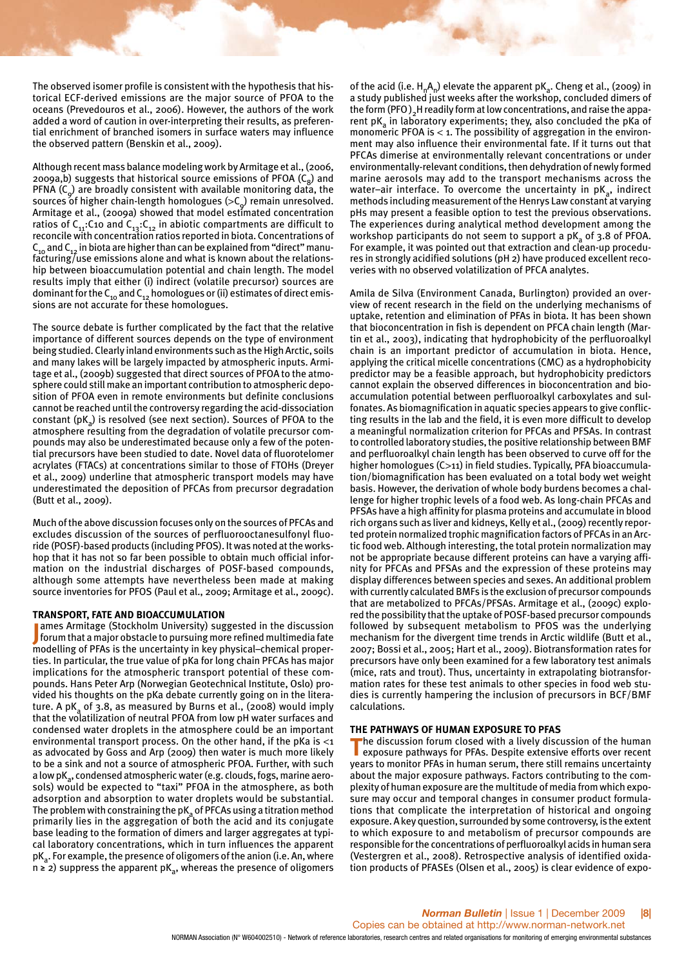The observed isomer profile is consistent with the hypothesis that historical ECF-derived emissions are the major source of PFOA to the oceans (Prevedouros et al., 2006). However, the authors of the work added a word of caution in over-interpreting their results, as preferential enrichment of branched isomers in surface waters may influence the observed pattern (Benskin et al., 2009).

Although recent mass balance modeling work by Armitage et al., (2006, 2009a,b) suggests that historical source emissions of PFOA  $(C_8)$  and PFNA  $(C_0)$  are broadly consistent with available monitoring data, the sources of higher chain-length homologues  $(>C<sub>o</sub>)$  remain unresolved. Armitage et al., (2009a) showed that model estimated concentration ratios of C<sub>11</sub>:C10 and C<sub>13</sub>:C<sub>12</sub> in abiotic compartments are difficult to<br>reconcile with concentration ratios reported in biota. Concentrations of  $C_{10}$  and  $C_{12}$  in biota are higher than can be explained from "direct" manufacturing/use emissions alone and what is known about the relationship between bioaccumulation potential and chain length. The model results imply that either (i) indirect (volatile precursor) sources are dominant for the  $C_{10}$  and  $C_{12}$  homologues or (ii) estimates of direct emissions are not accurate for these homologues.

The source debate is further complicated by the fact that the relative importance of different sources depends on the type of environment being studied. Clearly inland environments such as the High Arctic, soils and many lakes will be largely impacted by atmospheric inputs. Armitage et al., (2009b) suggested that direct sources of PFOA to the atmosphere could still make an important contribution to atmospheric deposition of PFOA even in remote environments but definite conclusions cannot be reached until the controversy regarding the acid-dissociation constant ( $pK_a$ ) is resolved (see next section). Sources of PFOA to the atmosphere resulting from the degradation of volatile precursor compounds may also be underestimated because only a few of the potential precursors have been studied to date. Novel data of fluorotelomer acrylates (FTACs) at concentrations similar to those of FTOHs (Dreyer et al., 2009) underline that atmospheric transport models may have underestimated the deposition of PFCAs from precursor degradation (Butt et al., 2009).

Much of the above discussion focuses only on the sources of PFCAs and excludes discussion of the sources of perfluorooctanesulfonyl fluoride (POSF)-based products (including PFOS). It was noted at the workshop that it has not so far been possible to obtain much official information on the industrial discharges of POSF-based compounds, although some attempts have nevertheless been made at making source inventories for PFOS (Paul et al., 2009; Armitage et al., 2009c).

#### **TRANSPORT, FATE AND BIOACCUMULATION**

**J** ames Armitage (Stockholm University) suggested in the discussion<br>forum that a major obstacle to pursuing more refined multimedia fate ames Armitage (Stockholm University) suggested in the discussion modelling of PFAs is the uncertainty in key physical–chemical properties. In particular, the true value of pKa for long chain PFCAs has major implications for the atmospheric transport potential of these compounds. Hans Peter Arp (Norwegian Geotechnical Institute, Oslo) provided his thoughts on the pKa debate currently going on in the literature. A pK<sub>a</sub> of 3.8, as measured by Burns et al., (2008) would imply that the volatilization of neutral PFOA from low pH water surfaces and condensed water droplets in the atmosphere could be an important environmental transport process. On the other hand, if the pKa is  $\leq 1$ as advocated by Goss and Arp (2009) then water is much more likely to be a sink and not a source of atmospheric PFOA. Further, with such a low pK<sub>3</sub>, condensed atmospheric water (e.g. clouds, fogs, marine aerosols) would be expected to "taxi" PFOA in the atmosphere, as both adsorption and absorption to water droplets would be substantial. The problem with constraining the  $pK_a$  of PFCAs using a titration method primarily lies in the aggregation of both the acid and its conjugate base leading to the formation of dimers and larger aggregates at typical laboratory concentrations, which in turn influences the apparent  $pK_a$ . For example, the presence of oligomers of the anion (i.e. An, where  $n \ge 2$ ) suppress the apparent pK<sub>a</sub>, whereas the presence of oligomers of the acid (i.e.  $H_nA_n$ ) elevate the apparent pK<sub>a</sub>. Cheng et al., (2009) in a study published just weeks after the workshop, concluded dimers of the form (PFO)<sub>2</sub>H readily form at low concentrations, and raise the apparent  $pK_a$  in laboratory experiments; they, also concluded the pKa of monomeric PFOA is  $<$  1. The possibility of aggregation in the environment may also influence their environmental fate. If it turns out that PFCAs dimerise at environmentally relevant concentrations or under environmentally-relevant conditions, then dehydration of newly formed marine aerosols may add to the transport mechanisms across the water-air interface. To overcome the uncertainty in  $pK_a$ , indirect methods including measurement of the Henrys Law constant at varying pHs may present a feasible option to test the previous observations. The experiences during analytical method development among the workshop participants do not seem to support a pK<sub>3</sub> of 3.8 of PFOA. For example, it was pointed out that extraction and clean-up procedures in strongly acidified solutions (pH 2) have produced excellent recoveries with no observed volatilization of PFCA analytes.

Amila de Silva (Environment Canada, Burlington) provided an overview of recent research in the field on the underlying mechanisms of uptake, retention and elimination of PFAs in biota. It has been shown that bioconcentration in fish is dependent on PFCA chain length (Martin et al., 2003), indicating that hydrophobicity of the perfluoroalkyl chain is an important predictor of accumulation in biota. Hence, applying the critical micelle concentrations (CMC) as a hydrophobicity predictor may be a feasible approach, but hydrophobicity predictors cannot explain the observed differences in bioconcentration and bioaccumulation potential between perfluoroalkyl carboxylates and sulfonates. As biomagnification in aquatic species appears to give conflicting results in the lab and the field, it is even more difficult to develop a meaningful normalization criterion for PFCAs and PFSAs. In contrast to controlled laboratory studies, the positive relationship between BMF and perfluoroalkyl chain length has been observed to curve off for the higher homologues (C>11) in field studies. Typically, PFA bioaccumulation/biomagnification has been evaluated on a total body wet weight basis. However, the derivation of whole body burdens becomes a challenge for higher trophic levels of a food web. As long-chain PFCAs and PFSAs have a high affinity for plasma proteins and accumulate in blood rich organs such as liver and kidneys, Kelly et al., (2009) recently reported protein normalized trophic magnification factors of PFCAs in an Arctic food web. Although interesting, the total protein normalization may not be appropriate because different proteins can have a varying affinity for PFCAs and PFSAs and the expression of these proteins may display differences between species and sexes. An additional problem with currently calculated BMFs is the exclusion of precursor compounds that are metabolized to PFCAs/PFSAs. Armitage et al., (2009c) explored the possibility that the uptake of POSF-based precursor compounds followed by subsequent metabolism to PFOS was the underlying mechanism for the divergent time trends in Arctic wildlife (Butt et al., 2007; Bossi et al., 2005; Hart et al., 2009). Biotransformation rates for precursors have only been examined for a few laboratory test animals (mice, rats and trout). Thus, uncertainty in extrapolating biotransformation rates for these test animals to other species in food web studies is currently hampering the inclusion of precursors in BCF/BMF calculations.

#### **THE PATHWAYS OF HUMAN EXPOSURE TO PFAS**

The discussion forum closed with a lively discussion of the human<br>exposure pathways for PFAs. Despite extensive efforts over recent years to monitor PFAs in human serum, there still remains uncertainty about the major exposure pathways. Factors contributing to the complexity of human exposure are the multitude of media from which exposure may occur and temporal changes in consumer product formulations that complicate the interpretation of historical and ongoing exposure. A key question, surrounded by some controversy, is the extent to which exposure to and metabolism of precursor compounds are responsible for the concentrations of perfluoroalkyl acids in human sera (Vestergren et al., 2008). Retrospective analysis of identified oxidation products of PFASEs (Olsen et al., 2005) is clear evidence of expo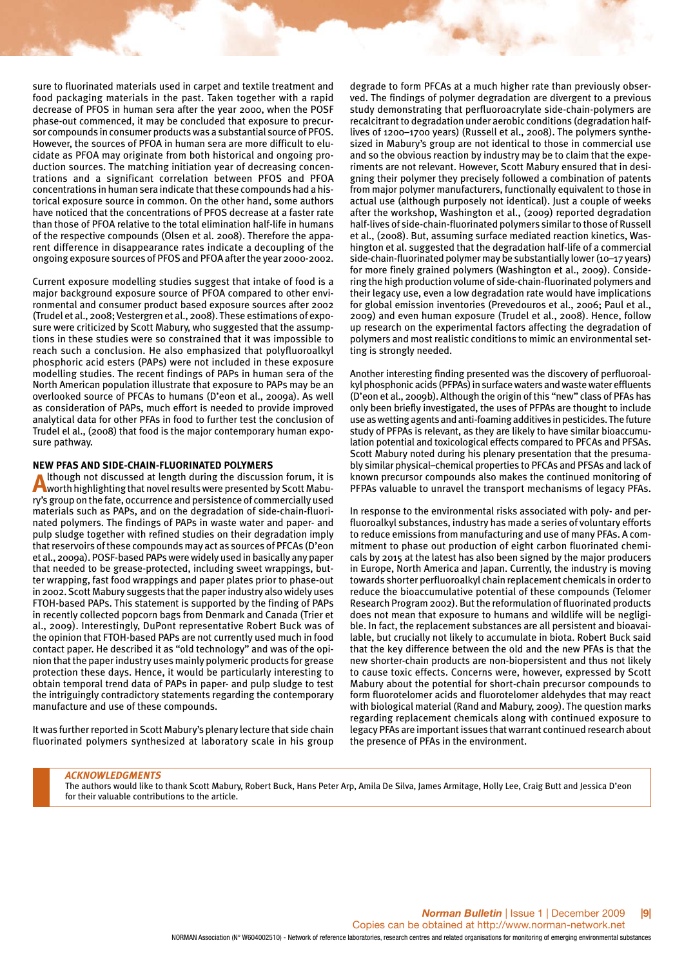sure to fluorinated materials used in carpet and textile treatment and food packaging materials in the past. Taken together with a rapid decrease of PFOS in human sera after the year 2000, when the POSF phase-out commenced, it may be concluded that exposure to precursor compounds in consumer products was a substantial source of PFOS. However, the sources of PFOA in human sera are more difficult to elucidate as PFOA may originate from both historical and ongoing production sources. The matching initiation year of decreasing concentrations and a significant correlation between PFOS and PFOA concentrations in human sera indicate that these compounds had a historical exposure source in common. On the other hand, some authors have noticed that the concentrations of PFOS decrease at a faster rate than those of PFOA relative to the total elimination half-life in humans of the respective compounds (Olsen et al. 2008). Therefore the apparent difference in disappearance rates indicate a decoupling of the ongoing exposure sources of PFOS and PFOA after the year 2000-2002.

Current exposure modelling studies suggest that intake of food is a major background exposure source of PFOA compared to other environmental and consumer product based exposure sources after 2002 (Trudel et al., 2008; Vestergren et al., 2008). These estimations of exposure were criticized by Scott Mabury, who suggested that the assumptions in these studies were so constrained that it was impossible to reach such a conclusion. He also emphasized that polyfluoroalkyl phosphoric acid esters (PAPs) were not included in these exposure modelling studies. The recent findings of PAPs in human sera of the North American population illustrate that exposure to PAPs may be an overlooked source of PFCAs to humans (D'eon et al., 2009a). As well as consideration of PAPs, much effort is needed to provide improved analytical data for other PFAs in food to further test the conclusion of Trudel el al., (2008) that food is the major contemporary human exposure pathway.

#### **NEW PFAS AND SIDE-CHAIN-FLUORINATED POLYMERS**

Although not discussed at length during the discussion forum, it is<br>worth highlighting that novel results were presented by Scott Mabury's group on the fate, occurrence and persistence of commercially used materials such as PAPs, and on the degradation of side-chain-fluorinated polymers. The findings of PAPs in waste water and paper- and pulp sludge together with refined studies on their degradation imply that reservoirs of these compounds may act as sources of PFCAs (D'eon et al., 2009a). POSF-based PAPs were widely used in basically any paper that needed to be grease-protected, including sweet wrappings, butter wrapping, fast food wrappings and paper plates prior to phase-out in 2002. Scott Mabury suggests that the paper industry also widely uses FTOH-based PAPs. This statement is supported by the finding of PAPs in recently collected popcorn bags from Denmark and Canada (Trier et al., 2009). Interestingly, DuPont representative Robert Buck was of the opinion that FTOH-based PAPs are not currently used much in food contact paper. He described it as "old technology" and was of the opinion that the paper industry uses mainly polymeric products for grease protection these days. Hence, it would be particularly interesting to obtain temporal trend data of PAPs in paper- and pulp sludge to test the intriguingly contradictory statements regarding the contemporary manufacture and use of these compounds.

It was further reported in Scott Mabury's plenary lecture that side chain fluorinated polymers synthesized at laboratory scale in his group degrade to form PFCAs at a much higher rate than previously observed. The findings of polymer degradation are divergent to a previous study demonstrating that perfluoroacrylate side-chain-polymers are recalcitrant to degradation under aerobic conditions (degradation halflives of 1200–1700 years) (Russell et al., 2008). The polymers synthesized in Mabury's group are not identical to those in commercial use and so the obvious reaction by industry may be to claim that the experiments are not relevant. However, Scott Mabury ensured that in designing their polymer they precisely followed a combination of patents from major polymer manufacturers, functionally equivalent to those in actual use (although purposely not identical). Just a couple of weeks after the workshop, Washington et al., (2009) reported degradation half-lives of side-chain-fluorinated polymers similar to those of Russell et al., (2008). But, assuming surface mediated reaction kinetics, Washington et al. suggested that the degradation half-life of a commercial side-chain-fluorinated polymer may be substantially lower (10–17 years) for more finely grained polymers (Washington et al., 2009). Considering the high production volume of side-chain-fluorinated polymers and their legacy use, even a low degradation rate would have implications for global emission inventories (Prevedouros et al., 2006; Paul et al., 2009) and even human exposure (Trudel et al., 2008). Hence, follow up research on the experimental factors affecting the degradation of polymers and most realistic conditions to mimic an environmental setting is strongly needed.

Another interesting finding presented was the discovery of perfluoroalkyl phosphonic acids (PFPAs) in surface waters and waste water effluents (D'eon et al., 2009b). Although the origin of this "new" class of PFAs has only been briefly investigated, the uses of PFPAs are thought to include use as wetting agents and anti-foaming additives in pesticides. The future study of PFPAs is relevant, as they are likely to have similar bioaccumulation potential and toxicological effects compared to PFCAs and PFSAs. Scott Mabury noted during his plenary presentation that the presumably similar physical–chemical properties to PFCAs and PFSAs and lack of known precursor compounds also makes the continued monitoring of PFPAs valuable to unravel the transport mechanisms of legacy PFAs.

In response to the environmental risks associated with poly- and perfluoroalkyl substances, industry has made a series of voluntary efforts to reduce emissions from manufacturing and use of many PFAs. A commitment to phase out production of eight carbon fluorinated chemicals by 2015 at the latest has also been signed by the major producers in Europe, North America and Japan. Currently, the industry is moving towards shorter perfluoroalkyl chain replacement chemicals in order to reduce the bioaccumulative potential of these compounds (Telomer Research Program 2002). But the reformulation of fluorinated products does not mean that exposure to humans and wildlife will be negligible. In fact, the replacement substances are all persistent and bioavailable, but crucially not likely to accumulate in biota. Robert Buck said that the key difference between the old and the new PFAs is that the new shorter-chain products are non-biopersistent and thus not likely to cause toxic effects. Concerns were, however, expressed by Scott Mabury about the potential for short-chain precursor compounds to form fluorotelomer acids and fluorotelomer aldehydes that may react with biological material (Rand and Mabury, 2009). The question marks regarding replacement chemicals along with continued exposure to legacy PFAs are important issues that warrant continued research about the presence of PFAs in the environment.

#### *ACKNOWLEDGMENTS*

The authors would like to thank Scott Mabury, Robert Buck, Hans Peter Arp, Amila De Silva, James Armitage, Holly Lee, Craig Butt and Jessica D'eon for their valuable contributions to the article.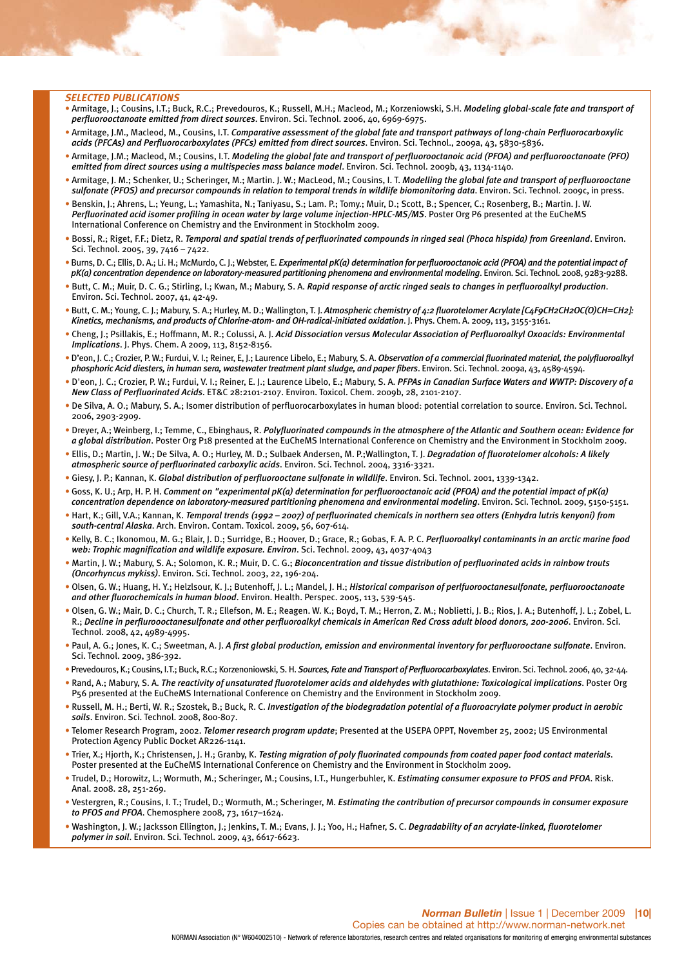#### *SELECTED PUBLICATIONS*

- Armitage, J.; Cousins, I.T.; Buck, R.C.; Prevedouros, K.; Russell, M.H.; Macleod, M.; Korzeniowski, S.H. *Modeling global-scale fate and transport of perfluorooctanoate emitted from direct sources*. Environ. Sci. Technol. 2006, 40, 6969-6975.
- Armitage, J.M., Macleod, M., Cousins, I.T. *Comparative assessment of the global fate and transport pathways of long-chain Perfluorocarboxylic acids (PFCAs) and Perfluorocarboxylates (PFCs) emitted from direct sources*. Environ. Sci. Technol., 2009a, 43, 5830-5836.
- Armitage, J.M.; Macleod, M.; Cousins, I.T. *Modeling the global fate and transport of perfluorooctanoic acid (PFOA) and perfluorooctanoate (PFO) emitted from direct sources using a multispecies mass balance model*. Environ. Sci. Technol. 2009b, 43, 1134-1140.
- Armitage, J. M.; Schenker, U.; Scheringer, M.; Martin. J. W.; MacLeod, M.; Cousins, I. T. *Modelling the global fate and transport of perfluorooctane sulfonate (PFOS) and precursor compounds in relation to temporal trends in wildlife biomonitoring data*. Environ. Sci. Technol. 2009c, in press.
- Benskin, J.; Ahrens, L.; Yeung, L.; Yamashita, N.; Taniyasu, S.; Lam. P.; Tomy.; Muir, D.; Scott, B.; Spencer, C.; Rosenberg, B.; Martin. J. W. *Perfluorinated acid isomer profiling in ocean water by large volume injection-HPLC-MS/MS*. Poster Org P6 presented at the EuCheMS International Conference on Chemistry and the Environment in Stockholm 2009.
- Bossi, R.; Riget, F.F.; Dietz, R. *Temporal and spatial trends of perfluorinated compounds in ringed seal (Phoca hispida) from Greenland*. Environ. Sci. Technol. 2005, 39, 7416 – 7422.
- Burns, D. C.; Ellis, D. A.; Li. H.; McMurdo, C. J.; Webster, E. *Experimental pK(a) determination for perfluorooctanoic acid (PFOA) and the potential impact of pK(a) concentration dependence on laboratory-measured partitioning phenomena and environmental modeling*. Environ. Sci. Technol. 2008, 9283-9288.
- Butt, C. M.; Muir, D. C. G.; Stirling, I.; Kwan, M.; Mabury, S. A. *Rapid response of arctic ringed seals to changes in perfluoroalkyl production*. Environ. Sci. Technol. 2007, 41, 42-49.
- Butt, C. M.; Young, C. J.; Mabury, S. A.; Hurley, M. D.; Wallington, T. J. *Atmospheric chemistry of 4:2 fluorotelomer Acrylate [C4F9CH2CH2OC(O)CH=CH2]: Kinetics, mechanisms, and products of Chlorine-atom- and OH-radical-initiated oxidation*. J. Phys. Chem. A. 2009, 113, 3155-3161.
- Cheng, J.; Psillakis, E.; Hoffmann, M. R.; Colussi, A. J. *Acid Dissociation versus Molecular Association of Perfluoroalkyl Oxoacids: Environmental Implications*. J. Phys. Chem. A 2009, 113, 8152-8156.
- D'eon, J. C.; Crozier, P. W.; Furdui, V. I.; Reiner, E, J.; Laurence Libelo, E.; Mabury, S. A. *Observation of a commercial fluorinated material, the polyfluoroalkyl phosphoric Acid diesters, in human sera, wastewater treatment plant sludge, and paper fibers*. Environ. Sci. Technol. 2009a, 43, 4589-4594.
- D'eon, J. C.; Crozier, P. W.; Furdui, V. I.; Reiner, E. J.; Laurence Libelo, E.; Mabury, S. A. *PFPAs in Canadian Surface Waters and WWTP: Discovery of a New Class of Perfluorinated Acids*. ET&C 28:2101-2107. Environ. Toxicol. Chem. 2009b, 28, 2101-2107.
- De Silva, A. O.; Mabury, S. A.; Isomer distribution of perfluorocarboxylates in human blood: potential correlation to source. Environ. Sci. Technol. 2006, 2903-2909.
- Dreyer, A.; Weinberg, I.; Temme, C., Ebinghaus, R. *Polyfluorinated compounds in the atmosphere of the Atlantic and Southern ocean: Evidence for a global distribution*. Poster Org P18 presented at the EuCheMS International Conference on Chemistry and the Environment in Stockholm 2009.
- Ellis, D.; Martin, J. W.; De Silva, A. O.; Hurley, M. D.; Sulbaek Andersen, M. P.;Wallington, T. J. *Degradation of fluorotelomer alcohols: A likely atmospheric source of perfluorinated carboxylic acids*. Environ. Sci. Technol. 2004, 3316-3321.
- Giesy, J. P.; Kannan, K. *Global distribution of perfluorooctane sulfonate in wildlife*. Environ. Sci. Technol. 2001, 1339-1342.
- Goss, K. U.; Arp, H. P. H. *Comment on "experimental pK(a) determination for perfluorooctanoic acid (PFOA) and the potential impact of pK(a) concentration dependence on laboratory-measured partitioning phenomena and environmental modeling*. Environ. Sci. Technol. 2009, 5150-5151.
- Hart, K.; Gill, V.A.; Kannan, K. *Temporal trends (1992 2007) of perfluorinated chemicals in northern sea otters (Enhydra lutris kenyoni) from south-central Alaska*. Arch. Environ. Contam. Toxicol. 2009, 56, 607-614.
- Kelly, B. C.; Ikonomou, M. G.; Blair, J. D.; Surridge, B.; Hoover, D.; Grace, R.; Gobas, F. A. P. C. *Perfluoroalkyl contaminants in an arctic marine food web: Trophic magnification and wildlife exposure. Environ*. Sci. Technol. 2009, 43, 4037-4043
- Martin, J. W.; Mabury, S. A.; Solomon, K. R.; Muir, D. C. G.; *Bioconcentration and tissue distribution of perfluorinated acids in rainbow trouts (Oncorhyncus mykiss)*. Environ. Sci. Technol. 2003, 22, 196-204.
- Olsen, G. W.; Huang, H. Y.; Helzlsour, K. J.; Butenhoff, J. L.; Mandel, J. H.; *Historical comparison of perlfuorooctanesulfonate, perfluorooctanoate and other fluorochemicals in human blood*. Environ. Health. Perspec. 2005, 113, 539-545.
- Olsen, G. W.; Mair, D. C.; Church, T. R.; Ellefson, M. E.; Reagen. W. K.; Boyd, T. M.; Herron, Z. M.; Noblietti, J. B.; Rios, J. A.; Butenhoff, J. L.; Zobel, L. R.; *Decline in perfluroooctanesulfonate and other perfluoroalkyl chemicals in American Red Cross adult blood donors, 200-2006*. Environ. Sci. Technol. 2008, 42, 4989-4995.
- Paul, A. G.; Jones, K. C.; Sweetman, A. J. *A first global production, emission and environmental inventory for perfluorooctane sulfonate*. Environ. Sci. Technol. 2009, 386-392.
- Prevedouros, K.; Cousins, I.T.; Buck, R.C.; Korzenoniowski, S. H. *Sources, Fate and Transport of Perfluorocarboxylates*. Environ. Sci. Technol. 2006, 40, 32-44.
- Rand, A.; Mabury, S. A. *The reactivity of unsaturated fluorotelomer acids and aldehydes with glutathione: Toxicological implications*. Poster Org P56 presented at the EuCheMS International Conference on Chemistry and the Environment in Stockholm 2009.
- Russell, M. H.; Berti, W. R.; Szostek, B.; Buck, R. C. *Investigation of the biodegradation potential of a fluoroacrylate polymer product in aerobic soils*. Environ. Sci. Technol. 2008, 800-807.
- Telomer Research Program, 2002. *Telomer research program update*; Presented at the USEPA OPPT, November 25, 2002; US Environmental Protection Agency Public Docket AR226-1141.
- Trier, X.; Hjorth, K.; Christensen, J. H.; Granby, K. *Testing migration of poly fluorinated compounds from coated paper food contact materials*. Poster presented at the EuCheMS International Conference on Chemistry and the Environment in Stockholm 2009.
- Trudel, D.; Horowitz, L.; Wormuth, M.; Scheringer, M.; Cousins, I.T., Hungerbuhler, K. *Estimating consumer exposure to PFOS and PFOA*. Risk. Anal. 2008. 28, 251-269.
- Vestergren, R.; Cousins, I. T.; Trudel, D.; Wormuth, M.; Scheringer, M. *Estimating the contribution of precursor compounds in consumer exposure to PFOS and PFOA*. Chemosphere 2008, 73, 1617–1624.
- Washington, J. W.; Jacksson Ellington, J.; Jenkins, T. M.; Evans, J. J.; Yoo, H.; Hafner, S. C. *Degradability of an acrylate-linked, fluorotelomer polymer in soil*. Environ. Sci. Technol. 2009, 43, 6617-6623.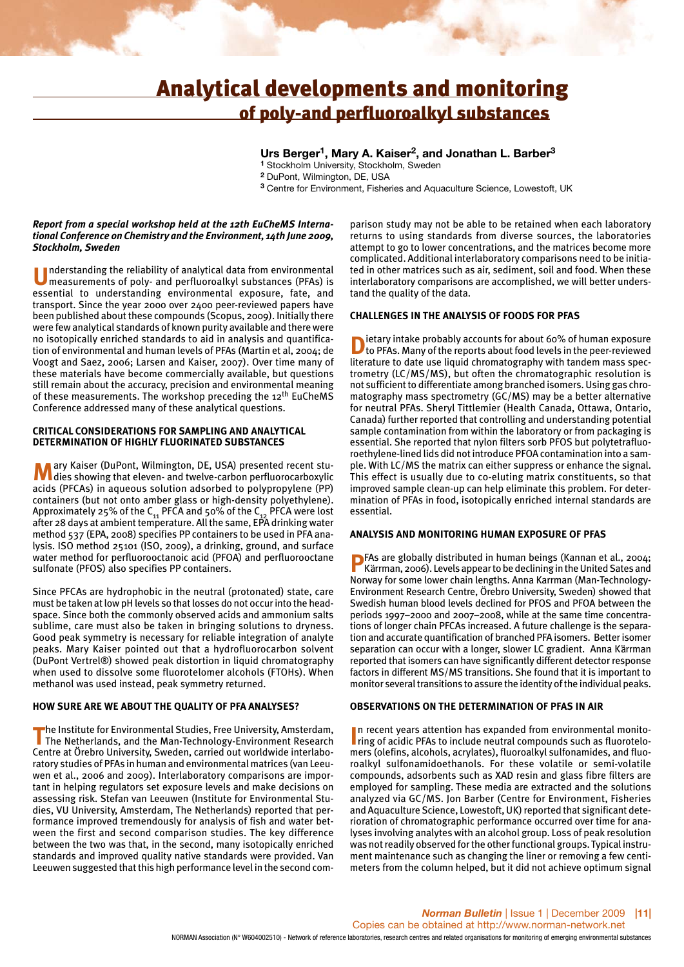## Analytical developments and monitoring of poly-and perfluoroalkyl substances

#### **Urs Berger1, Mary A. Kaiser2, and Jonathan L. Barber3**

**<sup>1</sup>** Stockholm University, Stockholm, Sweden

**<sup>2</sup>** DuPont, Wilmington, DE, USA

**<sup>3</sup>** Centre for Environment, Fisheries and Aquaculture Science, Lowestoft, UK

#### *Report from a special workshop held at the 12th EuCheMS International Conference on Chemistry and the Environment, 14th June 2009, Stockholm, Sweden*

**U**nderstanding the reliability of analytical data from environmental measurements of poly- and perfluoroalkyl substances (PFAs) is essential to understanding environmental exposure, fate, and transport. Since the year 2000 over 2400 peer-reviewed papers have been published about these compounds (Scopus, 2009). Initially there were few analytical standards of known purity available and there were no isotopically enriched standards to aid in analysis and quantification of environmental and human levels of PFAs (Martin et al, 2004; de Voogt and Saez, 2006; Larsen and Kaiser, 2007). Over time many of these materials have become commercially available, but questions still remain about the accuracy, precision and environmental meaning of these measurements. The workshop preceding the 12<sup>th</sup> EuCheMS Conference addressed many of these analytical questions.

#### **CRITICAL CONSIDERATIONS FOR SAMPLING AND ANALYTICAL DETERMINATION OF HIGHLY FLUORINATED SUBSTANCES**

**M**ary Kaiser (DuPont, Wilmington, DE, USA) presented recent studies showing that eleven- and twelve-carbon perfluorocarboxylic acids (PFCAs) in aqueous solution adsorbed to polypropylene (PP) containers (but not onto amber glass or high-density polyethylene). Approximately 25% of the  $C_{11}$  PFCA and 50% of the  $C_{12}$  PFCA were lost after 28 days at ambient temperature. All the same, EPA drinking water method 537 (EPA, 2008) specifies PP containers to be used in PFA analysis. ISO method 25101 (ISO, 2009), a drinking, ground, and surface water method for perfluorooctanoic acid (PFOA) and perfluorooctane sulfonate (PFOS) also specifies PP containers.

Since PFCAs are hydrophobic in the neutral (protonated) state, care must be taken at low pH levels so that losses do not occur into the headspace. Since both the commonly observed acids and ammonium salts sublime, care must also be taken in bringing solutions to dryness. Good peak symmetry is necessary for reliable integration of analyte peaks. Mary Kaiser pointed out that a hydrofluorocarbon solvent (DuPont Vertrel®) showed peak distortion in liquid chromatography when used to dissolve some fluorotelomer alcohols (FTOHs). When methanol was used instead, peak symmetry returned.

#### **HOW SURE ARE WE ABOUT THE QUALITY OF PFA ANALYSES?**

**The Institute for Environmental Studies, Free University, Amsterdam,**<br>The Netherlands, and the Man-Technology-Environment Research Centre at Örebro University, Sweden, carried out worldwide interlaboratory studies of PFAs in human and environmental matrices (van Leeuwen et al., 2006 and 2009). Interlaboratory comparisons are important in helping regulators set exposure levels and make decisions on assessing risk. Stefan van Leeuwen (Institute for Environmental Studies, VU University, Amsterdam, The Netherlands) reported that performance improved tremendously for analysis of fish and water between the first and second comparison studies. The key difference between the two was that, in the second, many isotopically enriched standards and improved quality native standards were provided. Van Leeuwen suggested that this high performance level in the second com-

parison study may not be able to be retained when each laboratory returns to using standards from diverse sources, the laboratories attempt to go to lower concentrations, and the matrices become more complicated. Additional interlaboratory comparisons need to be initiated in other matrices such as air, sediment, soil and food. When these interlaboratory comparisons are accomplished, we will better understand the quality of the data.

#### **CHALLENGES IN THE ANALYSIS OF FOODS FOR PFAS**

**D**ietary intake probably accounts for about 60% of human exposure<br>to PFAs. Many of the reports about food levels in the peer-reviewed literature to date use liquid chromatography with tandem mass spectrometry (LC/MS/MS), but often the chromatographic resolution is not sufficient to differentiate among branched isomers. Using gas chromatography mass spectrometry (GC/MS) may be a better alternative for neutral PFAs. Sheryl Tittlemier (Health Canada, Ottawa, Ontario, Canada) further reported that controlling and understanding potential sample contamination from within the laboratory or from packaging is essential. She reported that nylon filters sorb PFOS but polytetrafluoroethylene-lined lids did not introduce PFOA contamination into a sample. With LC/MS the matrix can either suppress or enhance the signal. This effect is usually due to co-eluting matrix constituents, so that improved sample clean-up can help eliminate this problem. For determination of PFAs in food, isotopically enriched internal standards are essential.

#### **ANALYSIS AND MONITORING HUMAN EXPOSURE OF PFAS**

**P**FAs are globally distributed in human beings (Kannan et al., 2004; Kärrman, 2006). Levels appear to be declining in the United Sates and Norway for some lower chain lengths. Anna Karrman (Man-Technology-Environment Research Centre, Örebro University, Sweden) showed that Swedish human blood levels declined for PFOS and PFOA between the periods 1997–2000 and 2007–2008, while at the same time concentrations of longer chain PFCAs increased. A future challenge is the separation and accurate quantification of branched PFA isomers. Better isomer separation can occur with a longer, slower LC gradient. Anna Kärrman reported that isomers can have significantly different detector response factors in different MS/MS transitions. She found that it is important to monitor several transitions to assure the identity of the individual peaks.

#### **OBSERVATIONS ON THE DETERMINATION OF PFAS IN AIR**

**In recent years attention has expanded from environmental monito-<br>
ring of acidic PFAs to include neutral compounds such as fluorotelo**n recent years attention has expanded from environmental monitomers (olefins, alcohols, acrylates), fluoroalkyl sulfonamides, and fluoroalkyl sulfonamidoethanols. For these volatile or semi-volatile compounds, adsorbents such as XAD resin and glass fibre filters are employed for sampling. These media are extracted and the solutions analyzed via GC/MS. Jon Barber (Centre for Environment, Fisheries and Aquaculture Science, Lowestoft, UK) reported that significant deterioration of chromatographic performance occurred over time for analyses involving analytes with an alcohol group. Loss of peak resolution was not readily observed for the other functional groups. Typical instrument maintenance such as changing the liner or removing a few centimeters from the column helped, but it did not achieve optimum signal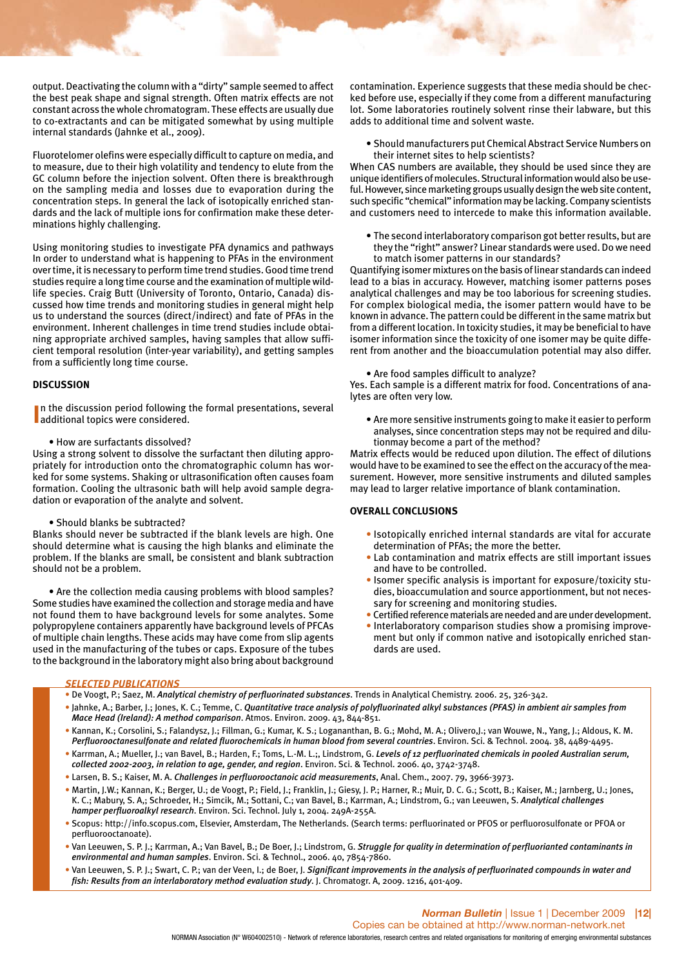output. Deactivating the column with a "dirty" sample seemed to affect the best peak shape and signal strength. Often matrix effects are not constant across the whole chromatogram. These effects are usually due to co-extractants and can be mitigated somewhat by using multiple internal standards (Jahnke et al., 2009).

Fluorotelomer olefins were especially difficult to capture on media, and to measure, due to their high volatility and tendency to elute from the GC column before the injection solvent. Often there is breakthrough on the sampling media and losses due to evaporation during the concentration steps. In general the lack of isotopically enriched standards and the lack of multiple ions for confirmation make these determinations highly challenging.

Using monitoring studies to investigate PFA dynamics and pathways In order to understand what is happening to PFAs in the environment over time, it is necessary to perform time trend studies. Good time trend studies require a long time course and the examination of multiple wildlife species. Craig Butt (University of Toronto, Ontario, Canada) discussed how time trends and monitoring studies in general might help us to understand the sources (direct/indirect) and fate of PFAs in the environment. Inherent challenges in time trend studies include obtaining appropriate archived samples, having samples that allow sufficient temporal resolution (inter-year variability), and getting samples from a sufficiently long time course.

#### **DISCUSSION**

**I** In the discussion period following<br>additional topics were considered. In the discussion period following the formal presentations, several

• How are surfactants dissolved?

Using a strong solvent to dissolve the surfactant then diluting appropriately for introduction onto the chromatographic column has worked for some systems. Shaking or ultrasonification often causes foam formation. Cooling the ultrasonic bath will help avoid sample degradation or evaporation of the analyte and solvent.

• Should blanks be subtracted?

Blanks should never be subtracted if the blank levels are high. One should determine what is causing the high blanks and eliminate the problem. If the blanks are small, be consistent and blank subtraction should not be a problem.

• Are the collection media causing problems with blood samples? Some studies have examined the collection and storage media and have not found them to have background levels for some analytes. Some polypropylene containers apparently have background levels of PFCAs of multiple chain lengths. These acids may have come from slip agents used in the manufacturing of the tubes or caps. Exposure of the tubes to the background in the laboratory might also bring about background

contamination. Experience suggests that these media should be checked before use, especially if they come from a different manufacturing lot. Some laboratories routinely solvent rinse their labware, but this adds to additional time and solvent waste.

• Should manufacturers put Chemical Abstract Service Numbers on their internet sites to help scientists?

When CAS numbers are available, they should be used since they are unique identifiers of molecules. Structural information would also be useful. However, since marketing groups usually design the web site content, such specific "chemical" information may be lacking. Company scientists and customers need to intercede to make this information available.

• The second interlaboratory comparison got better results, but are they the "right" answer? Linear standards were used. Do we need to match isomer patterns in our standards?

Quantifying isomer mixtures on the basis of linear standards can indeed lead to a bias in accuracy. However, matching isomer patterns poses analytical challenges and may be too laborious for screening studies. For complex biological media, the isomer pattern would have to be known in advance. The pattern could be different in the same matrix but from a different location. In toxicity studies, it may be beneficial to have isomer information since the toxicity of one isomer may be quite different from another and the bioaccumulation potential may also differ.

#### • Are food samples difficult to analyze?

Yes. Each sample is a different matrix for food. Concentrations of analytes are often very low.

• Are more sensitive instruments going to make it easier to perform analyses, since concentration steps may not be required and dilutionmay become a part of the method?

Matrix effects would be reduced upon dilution. The effect of dilutions would have to be examined to see the effect on the accuracy of the measurement. However, more sensitive instruments and diluted samples may lead to larger relative importance of blank contamination.

#### **OVERALL CONCLUSIONS**

- Isotopically enriched internal standards are vital for accurate determination of PFAs; the more the better.
- Lab contamination and matrix effects are still important issues and have to be controlled.
- Isomer specific analysis is important for exposure/toxicity studies, bioaccumulation and source apportionment, but not necessary for screening and monitoring studies.
- Certified reference materials are needed and are under development.
- Interlaboratory comparison studies show a promising improvement but only if common native and isotopically enriched standards are used.

#### *SELECTED PUBLICATIONS*

• De Voogt, P.; Saez, M. *Analytical chemistry of perfluorinated substances*. Trends in Analytical Chemistry. 2006. 25, 326-342.

- Jahnke, A.; Barber, J.; Jones, K. C.; Temme, C. *Quantitative trace analysis of polyfluorinated alkyl substances (PFAS) in ambient air samples from Mace Head (Ireland): A method comparison*. Atmos. Environ. 2009. 43, 844-851.
- Kannan, K.; Corsolini, S.; Falandysz, J.; Fillman, G.; Kumar, K. S.; Logananthan, B. G.; Mohd, M. A.; Olivero,J.; van Wouwe, N., Yang, J.; Aldous, K. M. *Perfluorooctanesulfonate and related fluorochemicals in human blood from several countries*. Environ. Sci. & Technol. 2004. 38, 4489-4495.
- Karrman, A.; Mueller, J.; van Bavel, B.; Harden, F.; Toms, L.-M. L.;, Lindstrom, G. *Levels of 12 perfluorinated chemicals in pooled Australian serum, collected 2002-2003, in relation to age, gender, and region*. Environ. Sci. & Technol. 2006. 40, 3742-3748.
- Larsen, B. S.; Kaiser, M. A. *Challenges in perfluorooctanoic acid measurements*, Anal. Chem., 2007. 79, 3966-3973.
- Martin, J.W.; Kannan, K.; Berger, U.; de Voogt, P.; Field, J.; Franklin, J.; Giesy, J. P.; Harner, R.; Muir, D. C. G.; Scott, B.; Kaiser, M.; Jarnberg, U.; Jones, K. C.; Mabury, S. A,; Schroeder, H.; Simcik, M.; Sottani, C.; van Bavel, B.; Karrman, A.; Lindstrom, G.; van Leeuwen, S. *Analytical challenges hamper perfluoroalkyl research*. Environ. Sci. Technol. July 1, 2004. 249A-255A.
- Scopus: http://info.scopus.com, Elsevier, Amsterdam, The Netherlands. (Search terms: perfluorinated or PFOS or perfluorosulfonate or PFOA or perfluorooctanoate).
- Van Leeuwen, S. P. J.; Karrman, A.; Van Bavel, B.; De Boer, J.; Lindstrom, G. *Struggle for quality in determination of perfluorianted contaminants in environmental and human samples*. Environ. Sci. & Technol., 2006. 40, 7854-7860.
- Van Leeuwen, S. P. J.; Swart, C. P.; van der Veen, I.; de Boer, J. *Significant improvements in the analysis of perfluorinated compounds in water and fish: Results from an interlaboratory method evaluation study*. J. Chromatogr. A, 2009. 1216, 401-409.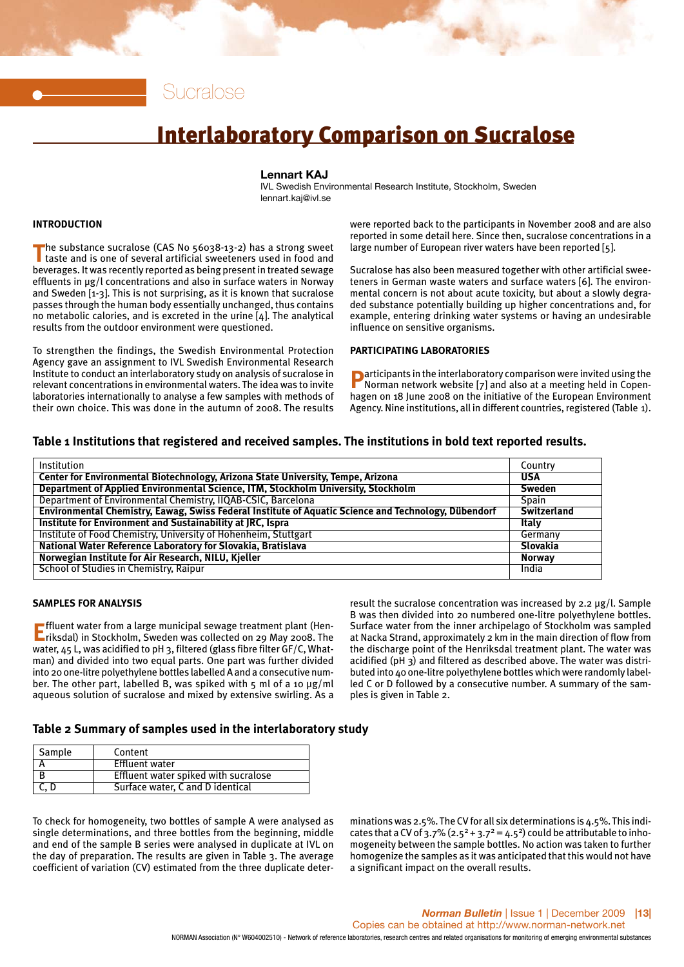Sucralose

# Interlaboratory Comparison on Sucralose

#### **Lennart KAJ**

IVL Swedish Environmental Research Institute, Stockholm, Sweden lennart.kaj@ivl.se

#### **INTRODUCTION**

The substance sucralose (CAS No 56038-13-2) has a strong sweet<br>taste and is one of several artificial sweeteners used in food and beverages. It was recently reported as being present in treated sewage effluents in μg/l concentrations and also in surface waters in Norway and Sweden [1-3]. This is not surprising, as it is known that sucralose passes through the human body essentially unchanged, thus contains no metabolic calories, and is excreted in the urine [4]. The analytical results from the outdoor environment were questioned.

To strengthen the findings, the Swedish Environmental Protection Agency gave an assignment to IVL Swedish Environmental Research Institute to conduct an interlaboratory study on analysis of sucralose in relevant concentrations in environmental waters. The idea was to invite laboratories internationally to analyse a few samples with methods of their own choice. This was done in the autumn of 2008. The results

were reported back to the participants in November 2008 and are also reported in some detail here. Since then, sucralose concentrations in a large number of European river waters have been reported [5].

Sucralose has also been measured together with other artificial sweeteners in German waste waters and surface waters [6]. The environmental concern is not about acute toxicity, but about a slowly degraded substance potentially building up higher concentrations and, for example, entering drinking water systems or having an undesirable influence on sensitive organisms.

#### **PARTICIPATING LABORATORIES**

**P**articipants in the interlaboratory comparison were invited using the Norman network website [7] and also at a meeting held in Copenhagen on 18 June 2008 on the initiative of the European Environment Agency. Nine institutions, all in different countries, registered (Table 1).

#### **Table 1 Institutions that registered and received samples. The institutions in bold text reported results.**

| Institution                                                                                          | Country            |
|------------------------------------------------------------------------------------------------------|--------------------|
| Center for Environmental Biotechnology, Arizona State University, Tempe, Arizona                     | <b>USA</b>         |
| Department of Applied Environmental Science, ITM, Stockholm University, Stockholm                    | <b>Sweden</b>      |
| Department of Environmental Chemistry, IIQAB-CSIC, Barcelona                                         | Spain              |
| Environmental Chemistry, Eawag, Swiss Federal Institute of Aquatic Science and Technology, Dübendorf | <b>Switzerland</b> |
| Institute for Environment and Sustainability at JRC, Ispra                                           | <b>Italy</b>       |
| Institute of Food Chemistry, University of Hohenheim, Stuttgart                                      | Germany            |
| National Water Reference Laboratory for Slovakia, Bratislava                                         | Slovakia           |
| Norwegian Institute for Air Research, NILU, Kjeller                                                  | <b>Norway</b>      |
| <b>School of Studies in Chemistry, Raipur</b>                                                        | India              |

#### **SAMPLES FOR ANALYSIS**

**E**ffluent water from a large municipal sewage treatment plant (Hen-<br>**E**riksdal) in Stockholm, Sweden was collected on 29 May 2008. The water, 45 L, was acidified to pH 3, filtered (glass fibre filter GF/C, Whatman) and divided into two equal parts. One part was further divided into 20 one-litre polyethylene bottles labelled A and a consecutive number. The other part, labelled B, was spiked with  $\frac{1}{5}$  ml of a 10  $\mu$ g/ml aqueous solution of sucralose and mixed by extensive swirling. As a result the sucralose concentration was increased by 2.2 μg/l. Sample B was then divided into 20 numbered one-litre polyethylene bottles. Surface water from the inner archipelago of Stockholm was sampled at Nacka Strand, approximately 2 km in the main direction of flow from the discharge point of the Henriksdal treatment plant. The water was acidified (pH 3) and filtered as described above. The water was distributed into 40 one-litre polyethylene bottles which were randomly labelled C or D followed by a consecutive number. A summary of the samples is given in Table 2.

#### **Table 2 Summary of samples used in the interlaboratory study**

| Sample | Content                              |
|--------|--------------------------------------|
|        | <b>Effluent water</b>                |
|        | Effluent water spiked with sucralose |
| C, D   | Surface water, C and D identical     |

To check for homogeneity, two bottles of sample A were analysed as single determinations, and three bottles from the beginning, middle and end of the sample B series were analysed in duplicate at IVL on the day of preparation. The results are given in Table 3. The average coefficient of variation (CV) estimated from the three duplicate deter-

minations was 2.5%. The CV for all six determinations is 4.5%. This indicates that a CV of 3.7%  $(2.5^2 + 3.7^2 = 4.5^2)$  could be attributable to inhomogeneity between the sample bottles. No action was taken to further homogenize the samples as it was anticipated that this would not have a significant impact on the overall results.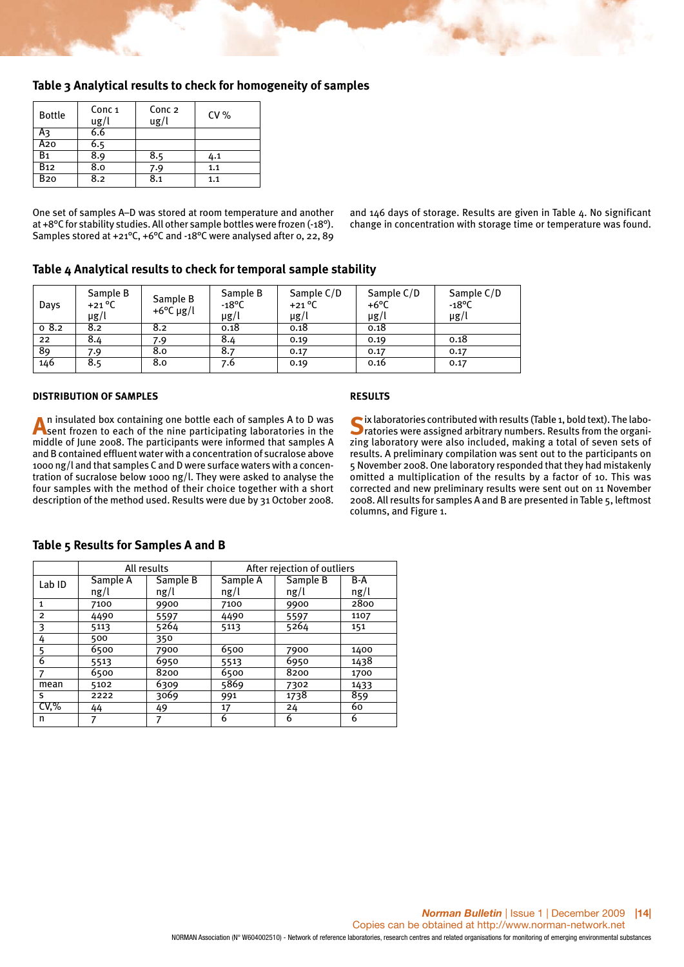#### **Table 3 Analytical results to check for homogeneity of samples**

| <b>Bottle</b>          | Conc <sub>1</sub><br>ug/l | Conc <sub>2</sub><br>$\lg$ /l | CV% |
|------------------------|---------------------------|-------------------------------|-----|
| Aз                     | 6.6                       |                               |     |
| A20                    | 6.5                       |                               |     |
| B1                     | 8.9                       | 8.5                           | 4.1 |
| <b>B</b> <sub>12</sub> | 8.0                       | 7.9                           | 1.1 |
| <b>B20</b>             | 8.2                       | 8.1                           | 1.1 |

One set of samples A–D was stored at room temperature and another at +8°C for stability studies. All other sample bottles were frozen (-18°). Samples stored at +21°C, +6°C and -18°C were analysed after 0, 22, 89 and 146 days of storage. Results are given in Table 4. No significant change in concentration with storage time or temperature was found.

#### **Table 4 Analytical results to check for temporal sample stability**

| Days | Sample B<br>$+21^{\circ}$ C<br>$\mu$ g/l | Sample B<br>+6 $\degree$ C µg/l | Sample B<br>$-18^{\circ}$ C<br>$\mu$ g/l | Sample C/D<br>$+21^{\circ}$ C<br>$\mu$ g/l | Sample C/D<br>+6°C<br>µg/l | Sample C/D<br>$-18^{\circ}$ C<br>µg/l |
|------|------------------------------------------|---------------------------------|------------------------------------------|--------------------------------------------|----------------------------|---------------------------------------|
| 08.2 | 8.2                                      | 8.2                             | 0.18                                     | 0.18                                       | 0.18                       |                                       |
| 22   | 8.4                                      | 7.9                             | 8.4                                      | 0.19                                       | 0.19                       | 0.18                                  |
| 89   | 7.9                                      | 8.0                             | 8.7                                      | 0.17                                       | 0.17                       | 0.17                                  |
| 146  | 8.5                                      | 8.0                             | 7.6                                      | 0.19                                       | 0.16                       | 0.17                                  |

#### **DISTRIBUTION OF SAMPLES**

**A**n insulated box containing one bottle each of samples A to D was sent frozen to each of the nine participating laboratories in the middle of June 2008. The participants were informed that samples A and B contained effluent water with a concentration of sucralose above 1000 ng/l and that samples C and D were surface waters with a concentration of sucralose below 1000 ng/l. They were asked to analyse the four samples with the method of their choice together with a short description of the method used. Results were due by 31 October 2008.

#### **RESULTS**

Six laboratories contributed with results (Table 1, bold text). The laboratories were assigned arbitrary numbers. Results from the organizing laboratory were also included, making a total of seven sets of results. A preliminary compilation was sent out to the participants on 5 November 2008. One laboratory responded that they had mistakenly omitted a multiplication of the results by a factor of 10. This was corrected and new preliminary results were sent out on 11 November 2008. All results for samples A and B are presented in Table 5, leftmost columns, and Figure 1.

#### Sample A | Sample B | Sample A | Sample B | B-A ng/l ng/l ng/l ng/l ng/l 1 7100 9900 7100 9900 2800 2 4490 5597 4490 5597 1107 3 5113 5264 5113 5264 151 4 500 350 5 6500 7900 6500 7900 1400 6 5513 6950 5513 6950 1438 7 6500 8200 6500 8200 1700 mean 5102 6309 5869 7302 1433 s 2222 3069 991 1738 859 CV,% 44 49 17 24 60 n | 7 | 7 | 6 | 6 | 6 Lab ID All results **After rejection of outliers**

#### **Table 5 Results for Samples A and B**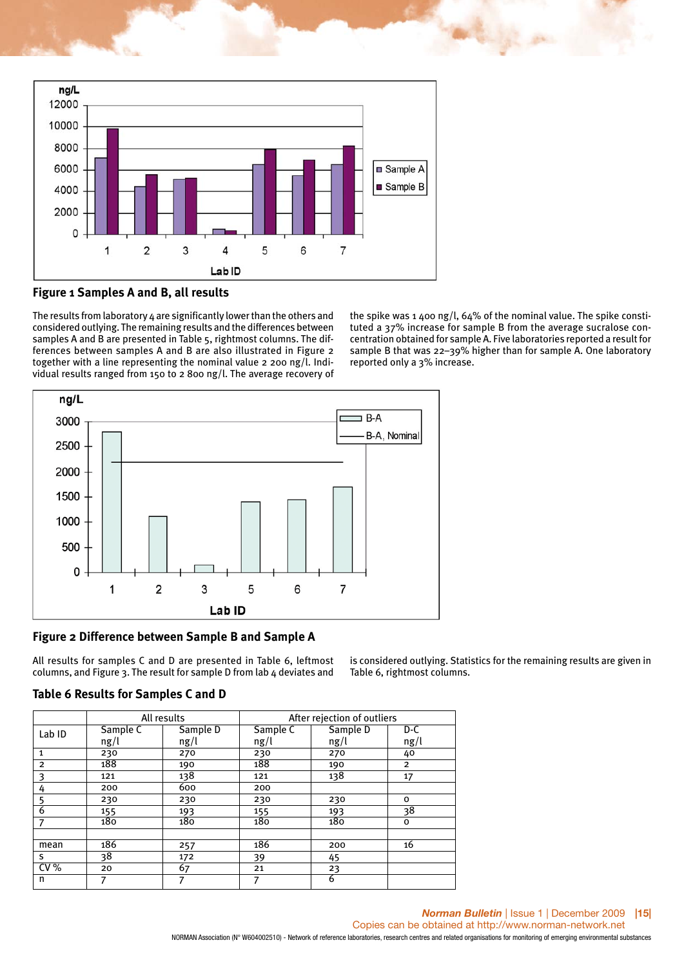



The results from laboratory 4 are significantly lower than the others and considered outlying. The remaining results and the differences between samples A and B are presented in Table 5, rightmost columns. The differences between samples A and B are also illustrated in Figure 2 together with a line representing the nominal value 2 200 ng/l. Individual results ranged from 150 to 2 800 ng/l. The average recovery of

the spike was 1 400 ng/l,  $64\%$  of the nominal value. The spike constituted a 37% increase for sample B from the average sucralose concentration obtained for sample A. Five laboratories reported a result for sample B that was 22–39% higher than for sample A. One laboratory reported only a 3% increase.



### **Figure 2 Difference between Sample B and Sample A**

All results for samples C and D are presented in Table 6, leftmost columns, and Figure 3. The result for sample D from lab 4 deviates and

is considered outlying. Statistics for the remaining results are given in Table 6, rightmost columns.

|  |  | Table 6 Results for Samples C and D |  |  |
|--|--|-------------------------------------|--|--|
|  |  |                                     |  |  |

|                   |          | All results | After rejection of outliers |          |                |  |  |
|-------------------|----------|-------------|-----------------------------|----------|----------------|--|--|
| Lab <sub>ID</sub> | Sample C | Sample D    | Sample C                    | Sample D | D-C            |  |  |
|                   | ng/l     | ng/l        | ng/l                        | ng/l     | ng/l           |  |  |
| $\mathbf{1}$      | 230      | 270         | 230                         | 270      | 40             |  |  |
| $\overline{2}$    | 188      | 190         | 188                         | 190      | $\overline{2}$ |  |  |
| 3                 | 121      | 138         | 121                         | 138      | 17             |  |  |
| 4                 | 200      | 600         | 200                         |          |                |  |  |
| 5                 | 230      | 230         | 230                         | 230      | o              |  |  |
| 6                 | 155      | 193         | 155                         | 193      | 38             |  |  |
| 7                 | 180      | 180         | 180                         | 180      | 0              |  |  |
|                   |          |             |                             |          |                |  |  |
| mean              | 186      | 257         | 186                         | 200      | 16             |  |  |
| S.                | 38       | 172         | 39                          | 45       |                |  |  |
| CV%               | 20       | 67          | 21                          | 23       |                |  |  |
| n                 | 7        | 7           | 7                           | 6        |                |  |  |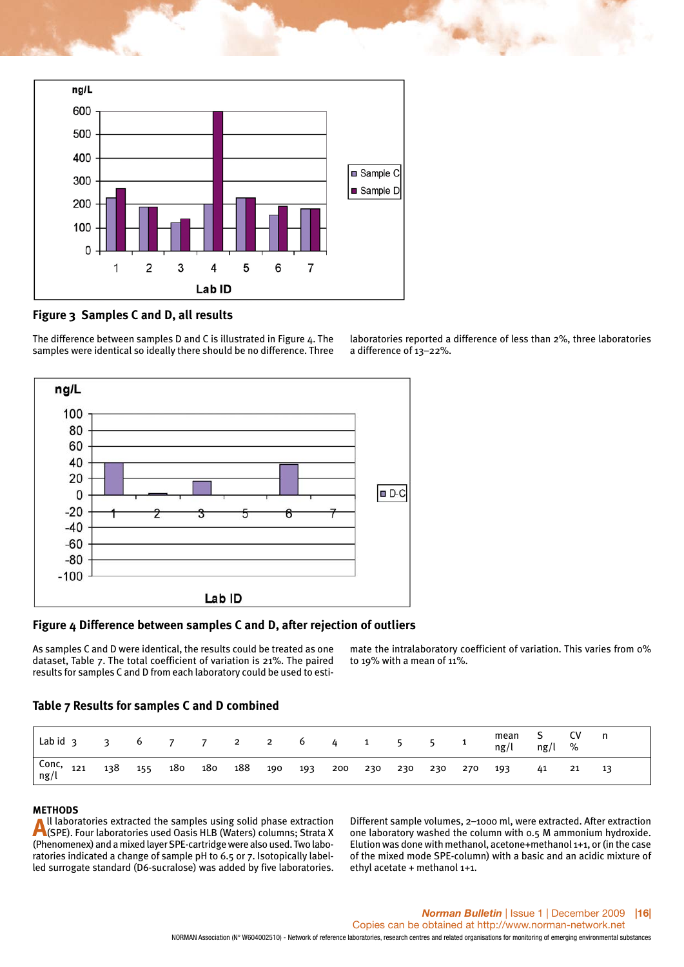

## **Figure 3 Samples C and D, all results**

The difference between samples D and C is illustrated in Figure 4. The samples were identical so ideally there should be no difference. Three



#### **Figure 4 Difference between samples C and D, after rejection of outliers**

As samples C and D were identical, the results could be treated as one dataset, Table 7. The total coefficient of variation is 21%. The paired results for samples C and D from each laboratory could be used to esti-

mate the intralaboratory coefficient of variation. This varies from 0% to 19% with a mean of  $11\%$ .

#### **Table 7 Results for samples C and D combined**

| $Labid$ 3 3                    |     |     | 6 7 7 2 2 6 4                           |  |  | 1 5 5 |  | $\overline{\mathbf{1}}$ | mean<br>ng/l | $ng/l \quad \%$ | <b>CV</b> |  |
|--------------------------------|-----|-----|-----------------------------------------|--|--|-------|--|-------------------------|--------------|-----------------|-----------|--|
| Conc, <sub>121</sub><br>  ng/l | 138 | 155 | 180 180 188 190 193 200 230 230 230 270 |  |  |       |  |                         | 193          | 41              | 21        |  |

**METHODS**<br>A II laboratories extracted the samples using solid phase extraction **A**ll laboratories extracted the samples using solid phase extraction<br>(SPE). Four laboratories used Oasis HLB (Waters) columns; Strata X (Phenomenex) and a mixed layer SPE-cartridge were also used. Two laboratories indicated a change of sample pH to 6.5 or 7. Isotopically labelled surrogate standard (D6-sucralose) was added by five laboratories.

Different sample volumes, 2–1000 ml, were extracted. After extraction one laboratory washed the column with 0.5 M ammonium hydroxide. Elution was done with methanol, acetone+methanol 1+1, or (in the case of the mixed mode SPE-column) with a basic and an acidic mixture of ethyl acetate + methanol 1+1.

laboratories reported a difference of less than 2%, three laboratories a difference of 13–22%.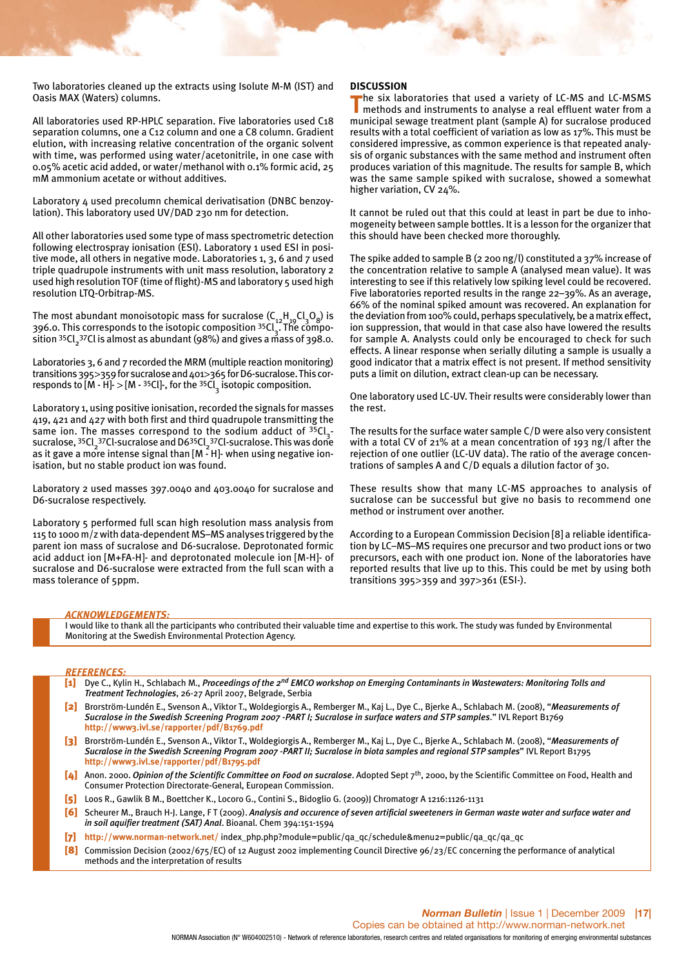Two laboratories cleaned up the extracts using Isolute M-M (IST) and Oasis MAX (Waters) columns.

All laboratories used RP-HPLC separation. Five laboratories used C18 separation columns, one a C12 column and one a C8 column. Gradient elution, with increasing relative concentration of the organic solvent with time, was performed using water/acetonitrile, in one case with 0.05% acetic acid added, or water/methanol with 0.1% formic acid, 25 mM ammonium acetate or without additives.

Laboratory 4 used precolumn chemical derivatisation (DNBC benzoylation). This laboratory used UV/DAD 230 nm for detection.

All other laboratories used some type of mass spectrometric detection following electrospray ionisation (ESI). Laboratory 1 used ESI in positive mode, all others in negative mode. Laboratories 1, 3, 6 and 7 used triple quadrupole instruments with unit mass resolution, laboratory 2 used high resolution TOF (time of flight)-MS and laboratory 5 used high resolution LTQ-Orbitrap-MS.

The most abundant monoisotopic mass for sucralose  $(C_{12}H_{19}Cl_3O_8)$  is 396.0. This corresponds to the isotopic composition  $35Cl<sub>3</sub>$ . The composition <sup>35</sup>Cl<sub>2</sub>37Cl is almost as abundant (98%) and gives a mass of 398.o.

Laboratories 3, 6 and 7 recorded the MRM (multiple reaction monitoring) transitions 395>359 for sucralose and 401>365 for D6-sucralose. This corresponds to  $[M - H]$ -  $> [M - 35Cl]$ -, for the  $35Cl_3$  isotopic composition.

Laboratory 1, using positive ionisation, recorded the signals for masses 419, 421 and 427 with both first and third quadrupole transmitting the same ion. The masses correspond to the sodium adduct of  $35Cl<sub>3</sub>$ sucralose, <sup>35</sup>Cl<sub>2</sub><sup>37</sup>Cl-sucralose and D6<sup>35</sup>Cl<sub>2</sub><sup>37</sup>Cl-sucralose. This was done as it gave a more intense signal than  $[M - H]$ - when using negative ionisation, but no stable product ion was found.

Laboratory 2 used masses 397.0040 and 403.0040 for sucralose and D6-sucralose respectively.

Laboratory 5 performed full scan high resolution mass analysis from 115 to 1000 m/z with data-dependent MS–MS analyses triggered by the parent ion mass of sucralose and D6-sucralose. Deprotonated formic acid adduct ion [M+FA-H]- and deprotonated molecule ion [M-H]- of sucralose and D6-sucralose were extracted from the full scan with a mass tolerance of 5ppm.

#### **DISCUSSION**

**T**he six laboratories that used a variety of LC-MS and LC-MSMS methods and instruments to analyse a real effluent water from a municipal sewage treatment plant (sample A) for sucralose produced results with a total coefficient of variation as low as 17%. This must be considered impressive, as common experience is that repeated analysis of organic substances with the same method and instrument often produces variation of this magnitude. The results for sample B, which was the same sample spiked with sucralose, showed a somewhat higher variation, CV 24%.

It cannot be ruled out that this could at least in part be due to inhomogeneity between sample bottles. It is a lesson for the organizer that this should have been checked more thoroughly.

The spike added to sample B (2 200 ng/l) constituted a 37% increase of the concentration relative to sample A (analysed mean value). It was interesting to see if this relatively low spiking level could be recovered. Five laboratories reported results in the range 22–39%. As an average, 66% of the nominal spiked amount was recovered. An explanation for the deviation from 100% could, perhaps speculatively, be a matrix effect, ion suppression, that would in that case also have lowered the results for sample A. Analysts could only be encouraged to check for such effects. A linear response when serially diluting a sample is usually a good indicator that a matrix effect is not present. If method sensitivity puts a limit on dilution, extract clean-up can be necessary.

One laboratory used LC-UV. Their results were considerably lower than the rest.

The results for the surface water sample C/D were also very consistent with a total CV of 21% at a mean concentration of 193 ng/l after the rejection of one outlier (LC-UV data). The ratio of the average concentrations of samples A and C/D equals a dilution factor of 30.

These results show that many LC-MS approaches to analysis of sucralose can be successful but give no basis to recommend one method or instrument over another.

According to a European Commission Decision [8] a reliable identification by LC–MS–MS requires one precursor and two product ions or two precursors, each with one product ion. None of the laboratories have reported results that live up to this. This could be met by using both transitions 395>359 and 397>361 (ESI-).

#### *ACKNOWLEDGEMENTS:*

I would like to thank all the participants who contributed their valuable time and expertise to this work. The study was funded by Environmental Monitoring at the Swedish Environmental Protection Agency.

#### *REFERENCES:*

- [1] Dye C., Kylin H., Schlabach M., *Proceedings of the 2nd EMCO workshop on Emerging Contaminants in Wastewaters: Monitoring Tolls and Treatment Technologies*, 26-27 April 2007, Belgrade, Serbia
- [2] Brorström-Lundén E., Svenson A., Viktor T., Woldegiorgis A., Remberger M., Kaj L., Dye C., Bjerke A., Schlabach M. (2008), "*Measurements of Sucralose in the Swedish Screening Program 2007 -PART I; Sucralose in surface waters and STP samples*." IVL Report B1769 **http://www3.ivl.se/rapporter/pdf/B1769.pdf**
- [3] Brorström-Lundén E., Svenson A., Viktor T., Woldegiorgis A., Remberger M., Kaj L., Dye C., Bjerke A., Schlabach M. (2008), "*Measurements of Sucralose in the Swedish Screening Program 2007 -PART II; Sucralose in biota samples and regional STP samples*" IVL Report B1795 **http://www3.ivl.se/rapporter/pdf/B1795.pdf**
- [4] Anon. 2000. *Opinion of the Scientific Committee on Food on sucralose*. Adopted Sept 7<sup>th</sup>, 2000, by the Scientific Committee on Food, Health and Consumer Protection Directorate-General, European Commission.
- [5] Loos R., Gawlik B M., Boettcher K., Locoro G., Contini S., Bidoglio G. (2009) Chromatogr A 1216:1126-1131
- [6] Scheurer M., Brauch H-J. Lange, F T (2009). *Analysis and occurence of seven artificial sweeteners in German waste water and surface water and in soil aquifier treatment (SAT) Anal*. Bioanal. Chem 394:151-1594
- [7] **http://www.norman-network.net/** index\_php.php?module=public/qa\_qc/schedule&menu2=public/qa\_qc/qa\_qc
- [8] Commission Decision (2002/675/EC) of 12 August 2002 implementing Council Directive 96/23/EC concerning the performance of analytical methods and the interpretation of results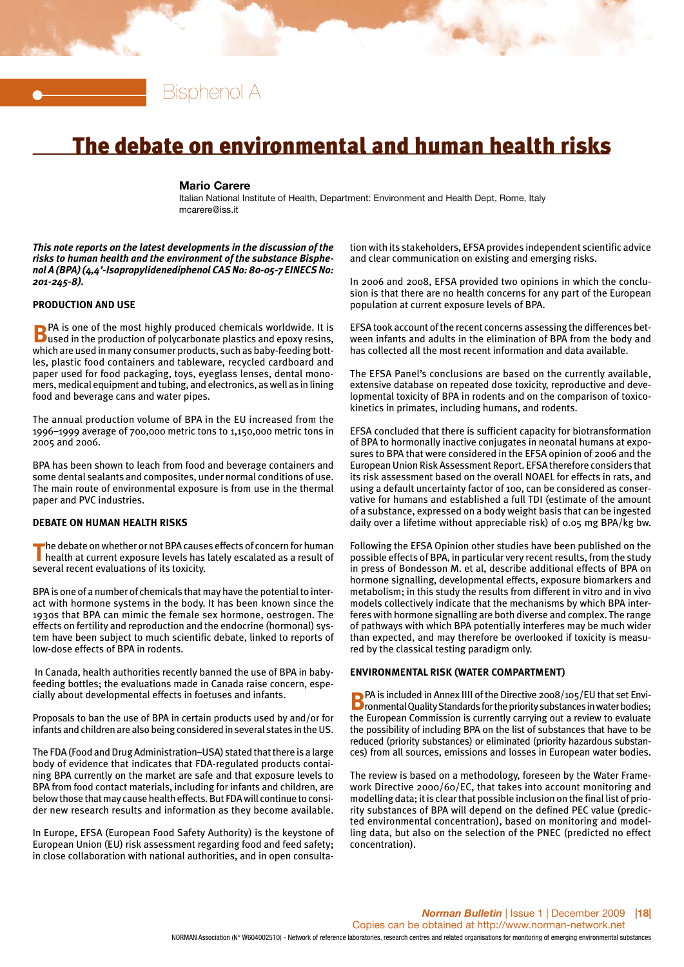

## The debate on environmental and human health risks

#### **Mario Carere**

Italian National Institute of Health, Department: Environment and Health Dept, Rome, Italy mcarere@iss.it

*This note reports on the latest developments in the discussion of the risks to human health and the environment of the substance Bisphenol A (BPA) (4,4'-Isopropylidenediphenol CAS No: 80-05-7 EINECS No: 201-245-8).*

#### **PRODUCTION AND USE**

**B**PA is one of the most highly produced chemicals worldwide. It is used in the production of polycarbonate plastics and epoxy resins, which are used in many consumer products, such as baby-feeding bottles, plastic food containers and tableware, recycled cardboard and paper used for food packaging, toys, eyeglass lenses, dental monomers, medical equipment and tubing, and electronics, as well as in lining food and beverage cans and water pipes.

The annual production volume of BPA in the EU increased from the 1996–1999 average of 700,000 metric tons to 1,150,000 metric tons in 2005 and 2006.

BPA has been shown to leach from food and beverage containers and some dental sealants and composites, under normal conditions of use. The main route of environmental exposure is from use in the thermal paper and PVC industries.

#### **DEBATE ON HUMAN HEALTH RISKS**

The debate on whether or not BPA causes effects of concern for human<br>health at current exposure levels has lately escalated as a result of several recent evaluations of its toxicity.

BPA is one of a number of chemicals that may have the potential to interact with hormone systems in the body. It has been known since the 1930s that BPA can mimic the female sex hormone, oestrogen. The effects on fertility and reproduction and the endocrine (hormonal) system have been subject to much scientific debate, linked to reports of low-dose effects of BPA in rodents.

In Canada, health authorities recently banned the use of BPA in babyfeeding bottles; the evaluations made in Canada raise concern, especially about developmental effects in foetuses and infants.

Proposals to ban the use of BPA in certain products used by and/or for infants and children are also being considered in several states in the US.

The FDA (Food and Drug Administration–USA) stated that there is a large body of evidence that indicates that FDA-regulated products containing BPA currently on the market are safe and that exposure levels to BPA from food contact materials, including for infants and children, are below those that may cause health effects. But FDA will continue to consider new research results and information as they become available.

In Europe, EFSA (European Food Safety Authority) is the keystone of European Union (EU) risk assessment regarding food and feed safety; in close collaboration with national authorities, and in open consultation with its stakeholders, EFSA provides independent scientific advice and clear communication on existing and emerging risks.

In 2006 and 2008, EFSA provided two opinions in which the conclusion is that there are no health concerns for any part of the European population at current exposure levels of BPA.

EFSA took account of the recent concerns assessing the differences between infants and adults in the elimination of BPA from the body and has collected all the most recent information and data available.

The EFSA Panel's conclusions are based on the currently available, extensive database on repeated dose toxicity, reproductive and developmental toxicity of BPA in rodents and on the comparison of toxicokinetics in primates, including humans, and rodents.

EFSA concluded that there is sufficient capacity for biotransformation of BPA to hormonally inactive conjugates in neonatal humans at exposures to BPA that were considered in the EFSA opinion of 2006 and the European Union Risk Assessment Report. EFSA therefore considers that its risk assessment based on the overall NOAEL for effects in rats, and using a default uncertainty factor of 100, can be considered as conservative for humans and established a full TDI (estimate of the amount of a substance, expressed on a body weight basis that can be ingested daily over a lifetime without appreciable risk) of 0.05 mg BPA/kg bw.

Following the EFSA Opinion other studies have been published on the possible effects of BPA, in particular very recent results, from the study in press of Bondesson M. et al, describe additional effects of BPA on hormone signalling, developmental effects, exposure biomarkers and metabolism; in this study the results from different in vitro and in vivo models collectively indicate that the mechanisms by which BPA interferes with hormone signalling are both diverse and complex. The range of pathways with which BPA potentially interferes may be much wider than expected, and may therefore be overlooked if toxicity is measured by the classical testing paradigm only.

#### **ENVIRONMENTAL RISK (WATER COMPARTMENT)**

**B**PA is included in Annex IIII of the Directive 2008/105/EU that set Envi-<br>**B**I ronmental Quality Standards for the priority substances in water bodies; the European Commission is currently carrying out a review to evaluate the possibility of including BPA on the list of substances that have to be reduced (priority substances) or eliminated (priority hazardous substances) from all sources, emissions and losses in European water bodies.

The review is based on a methodology, foreseen by the Water Framework Directive 2000/60/EC, that takes into account monitoring and modelling data; it is clear that possible inclusion on the final list of priority substances of BPA will depend on the defined PEC value (predicted environmental concentration), based on monitoring and modelling data, but also on the selection of the PNEC (predicted no effect concentration).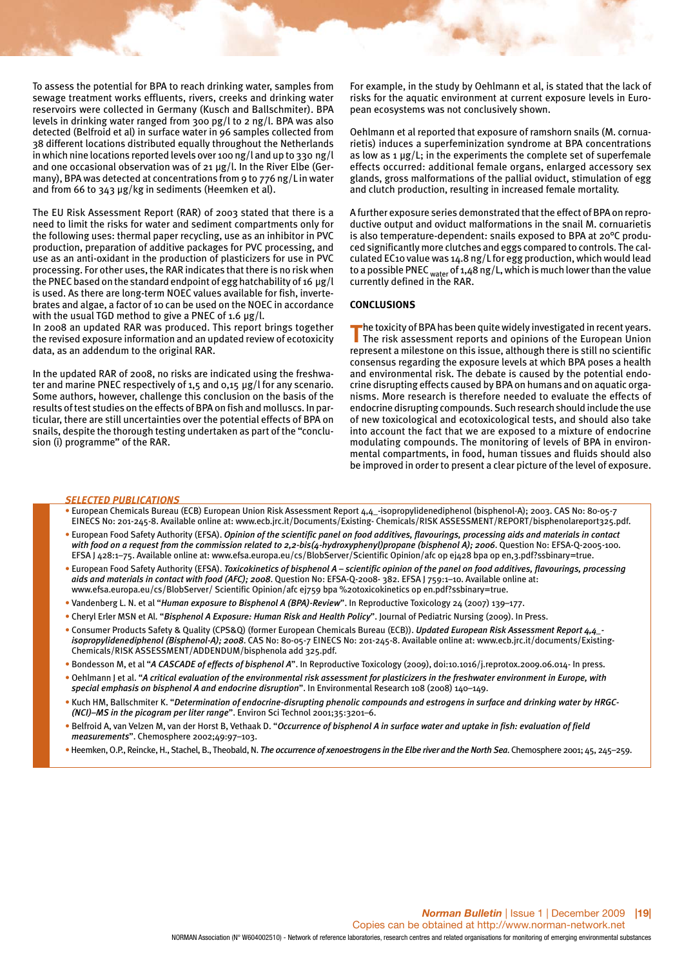To assess the potential for BPA to reach drinking water, samples from sewage treatment works effluents, rivers, creeks and drinking water reservoirs were collected in Germany (Kusch and Ballschmiter). BPA levels in drinking water ranged from 300 pg/l to 2 ng/l. BPA was also detected (Belfroid et al) in surface water in 96 samples collected from 38 different locations distributed equally throughout the Netherlands in which nine locations reported levels over 100 ng/l and up to 330 ng/l and one occasional observation was of 21 μg/l. In the River Elbe (Germany), BPA was detected at concentrations from 9 to 776 ng/L in water and from 66 to 343 μg/kg in sediments (Heemken et al).

The EU Risk Assessment Report (RAR) of 2003 stated that there is a need to limit the risks for water and sediment compartments only for the following uses: thermal paper recycling, use as an inhibitor in PVC production, preparation of additive packages for PVC processing, and use as an anti-oxidant in the production of plasticizers for use in PVC processing. For other uses, the RAR indicates that there is no risk when the PNEC based on the standard endpoint of egg hatchability of 16 μg/l is used. As there are long-term NOEC values available for fish, invertebrates and algae, a factor of 10 can be used on the NOEC in accordance with the usual TGD method to give a PNEC of 1.6  $\mu$ g/l.

In 2008 an updated RAR was produced. This report brings together the revised exposure information and an updated review of ecotoxicity data, as an addendum to the original RAR.

In the updated RAR of 2008, no risks are indicated using the freshwater and marine PNEC respectively of 1,5 and 0,15 μg/l for any scenario. Some authors, however, challenge this conclusion on the basis of the results of test studies on the effects of BPA on fish and molluscs. In particular, there are still uncertainties over the potential effects of BPA on snails, despite the thorough testing undertaken as part of the "conclusion (i) programme" of the RAR.

For example, in the study by Oehlmann et al, is stated that the lack of risks for the aquatic environment at current exposure levels in European ecosystems was not conclusively shown.

Oehlmann et al reported that exposure of ramshorn snails (M. cornuarietis) induces a superfeminization syndrome at BPA concentrations as low as 1 μg/L; in the experiments the complete set of superfemale effects occurred: additional female organs, enlarged accessory sex glands, gross malformations of the pallial oviduct, stimulation of egg and clutch production, resulting in increased female mortality.

A further exposure series demonstrated that the effect of BPA on reproductive output and oviduct malformations in the snail M. cornuarietis is also temperature-dependent: snails exposed to BPA at 20°C produced significantly more clutches and eggs compared to controls. The calculated EC10 value was 14.8 ng/L for egg production, which would lead to a possible PNEC <sub>water</sub> of 1,48 ng/L, which is much lower than the value currently defined in the RAR.

#### **CONCLUSIONS**

**The toxicity of BPA has been quite widely investigated in recent years.<br>The risk assessment reports and opinions of the European Union** represent a milestone on this issue, although there is still no scientific consensus regarding the exposure levels at which BPA poses a health and environmental risk. The debate is caused by the potential endocrine disrupting effects caused by BPA on humans and on aquatic organisms. More research is therefore needed to evaluate the effects of endocrine disrupting compounds. Such research should include the use of new toxicological and ecotoxicological tests, and should also take into account the fact that we are exposed to a mixture of endocrine modulating compounds. The monitoring of levels of BPA in environmental compartments, in food, human tissues and fluids should also be improved in order to present a clear picture of the level of exposure.

#### *SELECTED PUBLICATIONS*

- European Chemicals Bureau (ECB) European Union Risk Assessment Report 4,4\_-isopropylidenediphenol (bisphenol-A); 2003. CAS No: 80-05-7 EINECS No: 201-245-8. Available online at: www.ecb.jrc.it/Documents/Existing- Chemicals/RISK ASSESSMENT/REPORT/bisphenolareport325.pdf.
- European Food Safety Authority (EFSA). *Opinion of the scientific panel on food additives, flavourings, processing aids and materials in contact with food on a request from the commission related to 2,2-bis(4-hydroxyphenyl)propane (bisphenol A); 2006*. Question No: EFSA-Q-2005-100. EFSA J 428:1–75. Available online at: www.efsa.europa.eu/cs/BlobServer/Scientific Opinion/afc op ej428 bpa op en,3.pdf?ssbinary=true.
- European Food Safety Authority (EFSA). *Toxicokinetics of bisphenol A scientific opinion of the panel on food additives, flavourings, processing aids and materials in contact with food (AFC); 2008*. Question No: EFSA-Q-2008- 382. EFSA J 759:1–10. Available online at: www.efsa.europa.eu/cs/BlobServer/ Scientific Opinion/afc ej759 bpa %20toxicokinetics op en.pdf?ssbinary=true.
- Vandenberg L. N. et al "*Human exposure to Bisphenol A (BPA)-Review*". In Reproductive Toxicology 24 (2007) 139–177.
- Cheryl Erler MSN et Al. "*Bisphenol A Exposure: Human Risk and Health Policy*". Journal of Pediatric Nursing (2009). In Press.
- Consumer Products Safety & Quality (CPS&Q) (former European Chemicals Bureau (ECB)). *Updated European Risk Assessment Report 4,4\_ isopropylidenediphenol (Bisphenol-A); 2008*. CAS No: 80-05-7 EINECS No: 201-245-8. Available online at: www.ecb.jrc.it/documents/Existing-Chemicals/RISK ASSESSMENT/ADDENDUM/bisphenola add 325.pdf.
- Bondesson M, et al "*A CASCADE of effects of bisphenol A*". In Reproductive Toxicology (2009), doi:10.1016/j.reprotox.2009.06.014- In press.
- Oehlmann J et al. "*A critical evaluation of the environmental risk assessment for plasticizers in the freshwater environment in Europe, with special emphasis on bisphenol A and endocrine disruption*". In Environmental Research 108 (2008) 140–149.
- Kuch HM, Ballschmiter K. "*Determination of endocrine-disrupting phenolic compounds and estrogens in surface and drinking water by HRGC- (NCI)–MS in the picogram per liter range*". Environ Sci Technol 2001;35:3201–6.
- Belfroid A, van Velzen M, van der Horst B, Vethaak D. "*Occurrence of bisphenol A in surface water and uptake in fish: evaluation of field measurements*". Chemosphere 2002;49:97–103.
- •Heemken, O.P., Reincke, H., Stachel, B., Theobald, N. *The occurrence of xenoestrogens in the Elbe river and the North Sea*. Chemosphere 2001; 45, 245–259.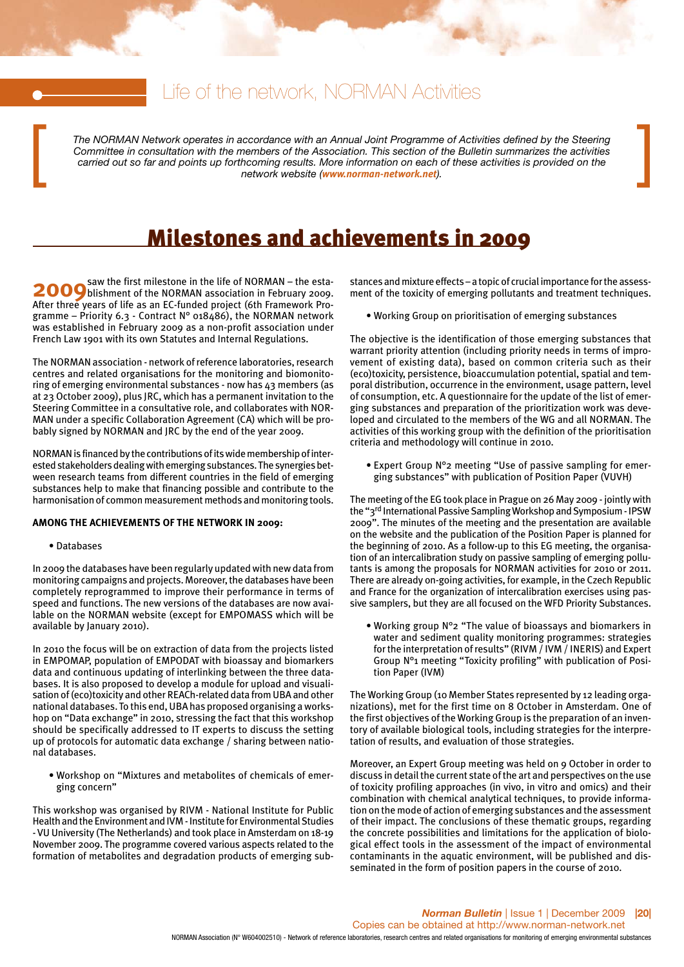## Life of the network, NORMAN Activities

*The NORMAN Network operates in accordance with an Annual Joint Programme of Activities defined by the Steering Committee in consultation with the members of the Association. This section of the Bulletin summarizes the activities* The NORMAN Network operates in accordance with an Annual Joint Programme of Activities defined by the Steering<br>Committee in consultation with the members of the Association. This section of the Bulletin summarizes the acti

## Milestones and achievements in 2009

**2009** Saw the first milestone in the life of NORMAN – the esta-<br>**2009** blishment of the NORMAN association in February 2009. After three years of life as an EC-funded project (6th Framework Programme – Priority 6.3 - Contract N° 018486), the NORMAN network was established in February 2009 as a non-profit association under French Law 1901 with its own Statutes and Internal Regulations.

The NORMAN association - network of reference laboratories, research centres and related organisations for the monitoring and biomonitoring of emerging environmental substances - now has 43 members (as at 23 October 2009), plus JRC, which has a permanent invitation to the Steering Committee in a consultative role, and collaborates with NOR-MAN under a specific Collaboration Agreement (CA) which will be probably signed by NORMAN and JRC by the end of the year 2009.

NORMAN is financed by the contributions of its wide membership of interested stakeholders dealing with emerging substances. The synergies between research teams from different countries in the field of emerging substances help to make that financing possible and contribute to the harmonisation of common measurement methods and monitoring tools.

#### **AMONG THE ACHIEVEMENTS OF THE NETWORK IN 2009:**

#### • Databases

In 2009 the databases have been regularly updated with new data from monitoring campaigns and projects. Moreover, the databases have been completely reprogrammed to improve their performance in terms of speed and functions. The new versions of the databases are now available on the NORMAN website (except for EMPOMASS which will be available by January 2010).

In 2010 the focus will be on extraction of data from the projects listed in EMPOMAP, population of EMPODAT with bioassay and biomarkers data and continuous updating of interlinking between the three databases. It is also proposed to develop a module for upload and visualisation of (eco)toxicity and other REACh-related data from UBA and other national databases. To this end, UBA has proposed organising a workshop on "Data exchange" in 2010, stressing the fact that this workshop should be specifically addressed to IT experts to discuss the setting up of protocols for automatic data exchange / sharing between national databases.

• Workshop on "Mixtures and metabolites of chemicals of emerging concern"

This workshop was organised by RIVM - National Institute for Public Health and the Environment and IVM - Institute for Environmental Studies - VU University (The Netherlands) and took place in Amsterdam on 18-19 November 2009. The programme covered various aspects related to the formation of metabolites and degradation products of emerging substances and mixture effects – a topic of crucial importance for the assessment of the toxicity of emerging pollutants and treatment techniques.

• Working Group on prioritisation of emerging substances

The objective is the identification of those emerging substances that warrant priority attention (including priority needs in terms of improvement of existing data), based on common criteria such as their (eco)toxicity, persistence, bioaccumulation potential, spatial and temporal distribution, occurrence in the environment, usage pattern, level of consumption, etc. A questionnaire for the update of the list of emerging substances and preparation of the prioritization work was developed and circulated to the members of the WG and all NORMAN. The activities of this working group with the definition of the prioritisation criteria and methodology will continue in 2010.

• Expert Group N°2 meeting "Use of passive sampling for emerging substances" with publication of Position Paper (VUVH)

The meeting of the EG took place in Prague on 26 May 2009 - jointly with the "3rd International Passive Sampling Workshop and Symposium - IPSW 2009". The minutes of the meeting and the presentation are available on the website and the publication of the Position Paper is planned for the beginning of 2010. As a follow-up to this EG meeting, the organisation of an intercalibration study on passive sampling of emerging pollutants is among the proposals for NORMAN activities for 2010 or 2011. There are already on-going activities, for example, in the Czech Republic and France for the organization of intercalibration exercises using passive samplers, but they are all focused on the WFD Priority Substances.

• Working group N°2 "The value of bioassays and biomarkers in water and sediment quality monitoring programmes: strategies for the interpretation of results" (RIVM / IVM / INERIS) and Expert Group N°1 meeting "Toxicity profiling" with publication of Position Paper (IVM)

The Working Group (10 Member States represented by 12 leading organizations), met for the first time on 8 October in Amsterdam. One of the first objectives of the Working Group is the preparation of an inventory of available biological tools, including strategies for the interpretation of results, and evaluation of those strategies.

Moreover, an Expert Group meeting was held on 9 October in order to discuss in detail the current state of the art and perspectives on the use of toxicity profiling approaches (in vivo, in vitro and omics) and their combination with chemical analytical techniques, to provide information on the mode of action of emerging substances and the assessment of their impact. The conclusions of these thematic groups, regarding the concrete possibilities and limitations for the application of biological effect tools in the assessment of the impact of environmental contaminants in the aquatic environment, will be published and disseminated in the form of position papers in the course of 2010.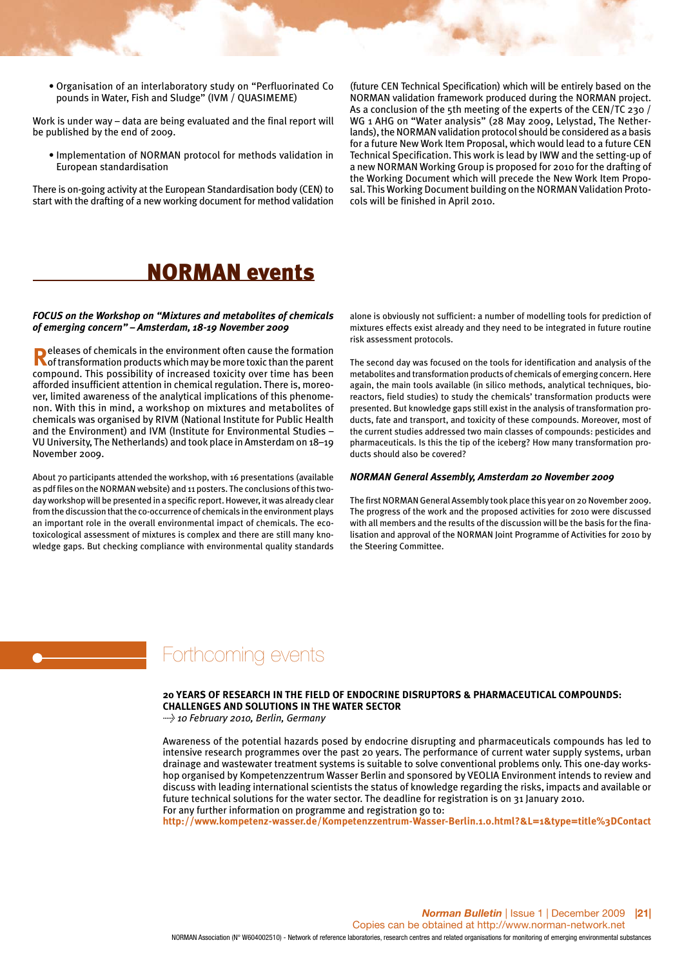• Organisation of an interlaboratory study on "Perfluorinated Co pounds in Water, Fish and Sludge" (IVM / QUASIMEME)

Work is under way – data are being evaluated and the final report will be published by the end of 2009.

• Implementation of NORMAN protocol for methods validation in European standardisation

There is on-going activity at the European Standardisation body (CEN) to start with the drafting of a new working document for method validation

(future CEN Technical Specification) which will be entirely based on the NORMAN validation framework produced during the NORMAN project. As a conclusion of the 5th meeting of the experts of the CEN/TC 230 / WG 1 AHG on "Water analysis" (28 May 2009, Lelystad, The Netherlands), the NORMAN validation protocol should be considered as a basis for a future New Work Item Proposal, which would lead to a future CEN Technical Specification. This work is lead by IWW and the setting-up of a new NORMAN Working Group is proposed for 2010 for the drafting of the Working Document which will precede the New Work Item Proposal. This Working Document building on the NORMAN Validation Protocols will be finished in April 2010.

## NORMAN events

#### *FOCUS on the Workshop on "Mixtures and metabolites of chemicals of emerging concern" – Amsterdam, 18-19 November 2009*

**Releases of chemicals in the environment often cause the formation<br>of transformation products which may be more toxic than the parent** compound. This possibility of increased toxicity over time has been afforded insufficient attention in chemical regulation. There is, moreover, limited awareness of the analytical implications of this phenomenon. With this in mind, a workshop on mixtures and metabolites of chemicals was organised by RIVM (National Institute for Public Health and the Environment) and IVM (Institute for Environmental Studies – VU University, The Netherlands) and took place in Amsterdam on 18–19 November 2009.

About 70 participants attended the workshop, with 16 presentations (available as pdf files on the NORMAN website) and 11 posters. The conclusions of this twoday workshop will be presented in a specific report. However, it was already clear from the discussion that the co-occurrence of chemicals in the environment plays an important role in the overall environmental impact of chemicals. The ecotoxicological assessment of mixtures is complex and there are still many knowledge gaps. But checking compliance with environmental quality standards

alone is obviously not sufficient: a number of modelling tools for prediction of mixtures effects exist already and they need to be integrated in future routine risk assessment protocols.

The second day was focused on the tools for identification and analysis of the metabolites and transformation products of chemicals of emerging concern. Here again, the main tools available (in silico methods, analytical techniques, bioreactors, field studies) to study the chemicals' transformation products were presented. But knowledge gaps still exist in the analysis of transformation products, fate and transport, and toxicity of these compounds. Moreover, most of the current studies addressed two main classes of compounds: pesticides and pharmaceuticals. Is this the tip of the iceberg? How many transformation products should also be covered?

#### *NORMAN General Assembly, Amsterdam 20 November 2009*

The first NORMAN General Assembly took place this year on 20 November 2009. The progress of the work and the proposed activities for 2010 were discussed with all members and the results of the discussion will be the basis for the finalisation and approval of the NORMAN Joint Programme of Activities for 2010 by the Steering Committee.

## Forthcoming events

#### **20 YEARS OF RESEARCH IN THE FIELD OF ENDOCRINE DISRUPTORS & PHARMACEUTICAL COMPOUNDS: CHALLENGES AND SOLUTIONS IN THE WATER SECTOR**

*> 10 February 2010, Berlin, Germany*

Awareness of the potential hazards posed by endocrine disrupting and pharmaceuticals compounds has led to intensive research programmes over the past 20 years. The performance of current water supply systems, urban drainage and wastewater treatment systems is suitable to solve conventional problems only. This one-day workshop organised by Kompetenzzentrum Wasser Berlin and sponsored by VEOLIA Environment intends to review and discuss with leading international scientists the status of knowledge regarding the risks, impacts and available or future technical solutions for the water sector. The deadline for registration is on 31 January 2010. For any further information on programme and registration go to:

**http://www.kompetenz-wasser.de/Kompetenzzentrum-Wasser-Berlin.1.0.html?&L=1&type=title%3DContact**